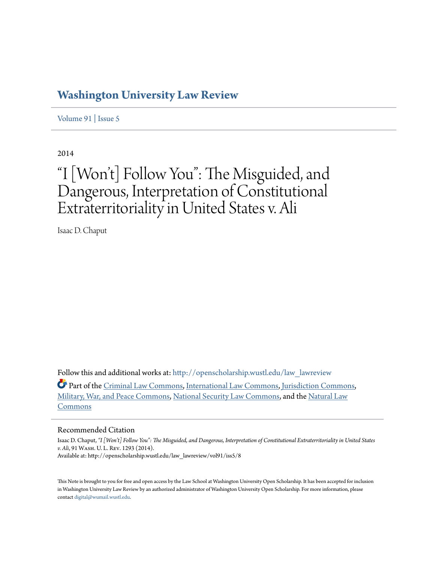# **[Washington University Law Review](http://openscholarship.wustl.edu/law_lawreview?utm_source=openscholarship.wustl.edu%2Flaw_lawreview%2Fvol91%2Fiss5%2F8&utm_medium=PDF&utm_campaign=PDFCoverPages)**

[Volume 91](http://openscholarship.wustl.edu/law_lawreview/vol91?utm_source=openscholarship.wustl.edu%2Flaw_lawreview%2Fvol91%2Fiss5%2F8&utm_medium=PDF&utm_campaign=PDFCoverPages) | [Issue 5](http://openscholarship.wustl.edu/law_lawreview/vol91/iss5?utm_source=openscholarship.wustl.edu%2Flaw_lawreview%2Fvol91%2Fiss5%2F8&utm_medium=PDF&utm_campaign=PDFCoverPages)

2014

# "I [Won 't] Follow You": The Misguided, and Dangerous, Interpretation of Constitutional Extraterritoriality in United States v. Ali

Isaac D. Chaput

Follow this and additional works at: [http://openscholarship.wustl.edu/law\\_lawreview](http://openscholarship.wustl.edu/law_lawreview?utm_source=openscholarship.wustl.edu%2Flaw_lawreview%2Fvol91%2Fiss5%2F8&utm_medium=PDF&utm_campaign=PDFCoverPages)

Part of the [Criminal Law Commons](http://network.bepress.com/hgg/discipline/912?utm_source=openscholarship.wustl.edu%2Flaw_lawreview%2Fvol91%2Fiss5%2F8&utm_medium=PDF&utm_campaign=PDFCoverPages), [International Law Commons,](http://network.bepress.com/hgg/discipline/609?utm_source=openscholarship.wustl.edu%2Flaw_lawreview%2Fvol91%2Fiss5%2F8&utm_medium=PDF&utm_campaign=PDFCoverPages) [Jurisdiction Commons](http://network.bepress.com/hgg/discipline/850?utm_source=openscholarship.wustl.edu%2Flaw_lawreview%2Fvol91%2Fiss5%2F8&utm_medium=PDF&utm_campaign=PDFCoverPages), [Military, War, and Peace Commons,](http://network.bepress.com/hgg/discipline/861?utm_source=openscholarship.wustl.edu%2Flaw_lawreview%2Fvol91%2Fiss5%2F8&utm_medium=PDF&utm_campaign=PDFCoverPages) [National Security Law Commons,](http://network.bepress.com/hgg/discipline/1114?utm_source=openscholarship.wustl.edu%2Flaw_lawreview%2Fvol91%2Fiss5%2F8&utm_medium=PDF&utm_campaign=PDFCoverPages) and the [Natural Law](http://network.bepress.com/hgg/discipline/1263?utm_source=openscholarship.wustl.edu%2Flaw_lawreview%2Fvol91%2Fiss5%2F8&utm_medium=PDF&utm_campaign=PDFCoverPages) [Commons](http://network.bepress.com/hgg/discipline/1263?utm_source=openscholarship.wustl.edu%2Flaw_lawreview%2Fvol91%2Fiss5%2F8&utm_medium=PDF&utm_campaign=PDFCoverPages)

## Recommended Citation

Isaac D. Chaput, *"I [Won't] Follow You": The Misguided, and Dangerous, Interpretation of Constitutional Extraterritoriality in United States v. Ali*, 91 Wash. U. L. Rev. 1293 (2014). Available at: http://openscholarship.wustl.edu/law\_lawreview/vol91/iss5/8

This Note is brought to you for free and open access by the Law School at Washington University Open Scholarship. It has been accepted for inclusion in Washington University Law Review by an authorized administrator of Washington University Open Scholarship. For more information, please contact [digital@wumail.wustl.edu.](mailto:digital@wumail.wustl.edu)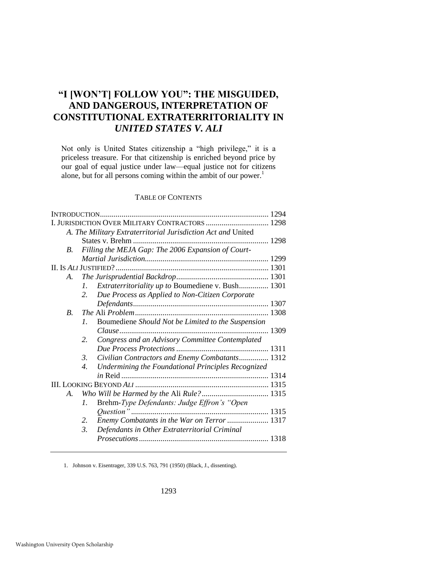# **"I [WON'T] FOLLOW YOU": THE MISGUIDED, AND DANGEROUS, INTERPRETATION OF CONSTITUTIONAL EXTRATERRITORIALITY IN**  *UNITED STATES V. ALI*

Not only is United States citizenship a "high privilege," it is a priceless treasure. For that citizenship is enriched beyond price by our goal of equal justice under law—equal justice not for citizens alone, but for all persons coming within the ambit of our power.<sup>1</sup>

# TABLE OF CONTENTS

|                       | I. JURISDICTION OVER MILITARY CONTRACTORS  1298                        |
|-----------------------|------------------------------------------------------------------------|
|                       | A. The Military Extraterritorial Jurisdiction Act and United           |
|                       |                                                                        |
| В.                    | Filling the MEJA Gap: The 2006 Expansion of Court-                     |
|                       |                                                                        |
|                       |                                                                        |
| A.                    |                                                                        |
|                       | Extraterritoriality up to Boumediene v. Bush 1301<br>$\mathcal{I}$ .   |
|                       | 2.<br>Due Process as Applied to Non-Citizen Corporate                  |
|                       |                                                                        |
| $B_{\cdot}$           |                                                                        |
|                       | Boumediene Should Not be Limited to the Suspension<br>$\mathcal{I}$ .  |
|                       |                                                                        |
|                       | $2_{1}$<br>Congress and an Advisory Committee Contemplated             |
|                       |                                                                        |
|                       | Civilian Contractors and Enemy Combatants 1312<br>$\beta$ .            |
|                       | Undermining the Foundational Principles Recognized<br>$\overline{4}$ . |
|                       |                                                                        |
|                       |                                                                        |
| $\mathcal{A}_{\cdot}$ |                                                                        |
|                       | Brehm-Type Defendants: Judge Effron's "Open<br>Ι.                      |
|                       |                                                                        |
|                       | Enemy Combatants in the War on Terror  1317<br>2.                      |
|                       | $\mathcal{E}$<br>Defendants in Other Extraterritorial Criminal         |
|                       |                                                                        |
|                       |                                                                        |

1. Johnson v. Eisentrager, 339 U.S. 763, 791 (1950) (Black, J., dissenting).

1293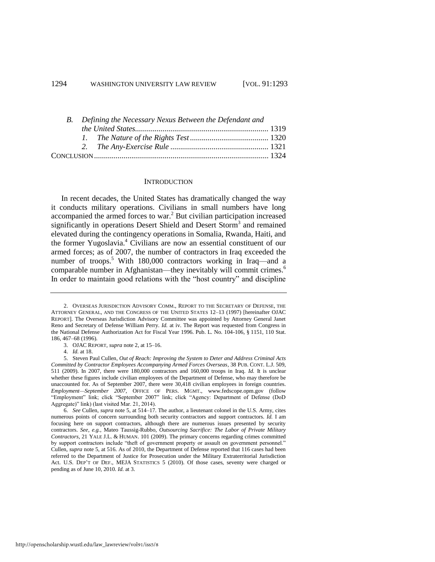| <b>B</b> . | Defining the Necessary Nexus Between the Defendant and |  |  |
|------------|--------------------------------------------------------|--|--|
|            |                                                        |  |  |
|            |                                                        |  |  |
|            |                                                        |  |  |
|            |                                                        |  |  |

#### <span id="page-2-2"></span><span id="page-2-0"></span>**INTRODUCTION**

In recent decades, the United States has dramatically changed the way it conducts military operations. Civilians in small numbers have long accompanied the armed forces to war.<sup>2</sup> But civilian participation increased significantly in operations Desert Shield and Desert Storm<sup>3</sup> and remained elevated during the contingency operations in Somalia, Rwanda, Haiti, and the former Yugoslavia.<sup>4</sup> Civilians are now an essential constituent of our armed forces; as of 2007, the number of contractors in Iraq exceeded the number of troops.<sup>5</sup> With 180,000 contractors working in Iraq—and a comparable number in Afghanistan—they inevitably will commit crimes.<sup>6</sup> In order to maintain good relations with the "host country" and discipline

<span id="page-2-1"></span><sup>2.</sup> OVERSEAS JURISDICTION ADVISORY COMM., REPORT TO THE SECRETARY OF DEFENSE, THE ATTORNEY GENERAL, AND THE CONGRESS OF THE UNITED STATES 12–13 (1997) [hereinafter OJAC REPORT]. The Overseas Jurisdiction Advisory Committee was appointed by Attorney General Janet Reno and Secretary of Defense William Perry. *Id.* at iv. The Report was requested from Congress in the National Defense Authorization Act for Fiscal Year 1996. Pub. L. No. 104-106, § 1151, 110 Stat. 186, 467–68 (1996).

<sup>3.</sup> OJAC REPORT, *supra* note [2,](#page-2-0) at 15–16.

<sup>4.</sup> *Id.* at 18.

<sup>5.</sup> Steven Paul Cullen, *Out of Reach: Improving the System to Deter and Address Criminal Acts Committed by Contractor Employees Accompanying Armed Forces Overseas*, 38 PUB. CONT. L.J. 509, 511 (2009). In 2007, there were 180,000 contractors and 160,000 troops in Iraq. *Id.* It is unclear whether these figures include civilian employees of the Department of Defense, who may therefore be unaccounted for. As of September 2007, there were 30,418 civilian employees in foreign countries. *Employment—September 2007*, OFFICE OF PERS. MGMT., www.fedscope.opm.gov (follow "Employment" link; click "September 2007" link; click "Agency: Department of Defense (DoD Aggregate)" link) (last visited Mar. 21, 2014).

<sup>6.</sup> *See* Cullen, *supra* note [5,](#page-2-1) at 514–17. The author, a lieutenant colonel in the U.S. Army, cites numerous points of concern surrounding both security contractors and support contractors. *Id.* I am focusing here on support contractors, although there are numerous issues presented by security contractors. *See, e.g.*, Mateo Taussig-Rubbo, *Outsourcing Sacrifice: The Labor of Private Military Contractors*, 21 YALE J.L. & HUMAN. 101 (2009). The primary concerns regarding crimes committed by support contractors include "theft of government property or assault on government personnel." Cullen, *supra* not[e 5,](#page-2-1) at 516. As of 2010, the Department of Defense reported that 116 cases had been referred to the Department of Justice for Prosecution under the Military Extraterritorial Jurisdiction Act. U.S. DEP'T OF DEF., MEJA STATISTICS 5 (2010). Of those cases, seventy were charged or pending as of June 10, 2010. *Id.* at 3.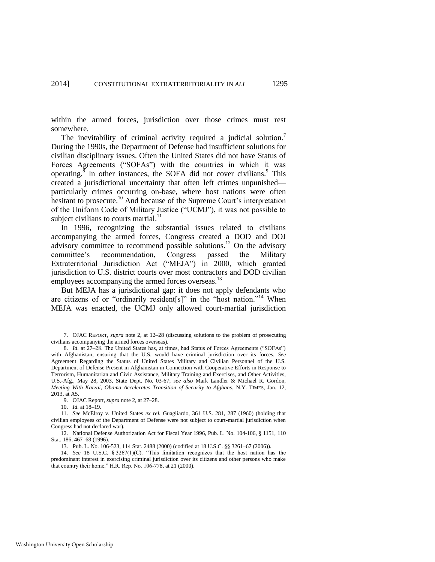within the armed forces, jurisdiction over those crimes must rest somewhere.

The inevitability of criminal activity required a judicial solution.<sup>7</sup> During the 1990s, the Department of Defense had insufficient solutions for civilian disciplinary issues. Often the United States did not have Status of Forces Agreements ("SOFAs") with the countries in which it was operating.<sup>8</sup> In other instances, the SOFA did not cover civilians.<sup>9</sup> This created a jurisdictional uncertainty that often left crimes unpunished particularly crimes occurring on-base, where host nations were often hesitant to prosecute.<sup>10</sup> And because of the Supreme Court's interpretation of the Uniform Code of Military Justice ("UCMJ"), it was not possible to subject civilians to courts martial. $^{11}$ 

In 1996, recognizing the substantial issues related to civilians accompanying the armed forces, Congress created a DOD and DOJ advisory committee to recommend possible solutions.<sup>12</sup> On the advisory committee's recommendation, Congress passed the Military Extraterritorial Jurisdiction Act ("MEJA") in 2000, which granted jurisdiction to U.S. district courts over most contractors and DOD civilian employees accompanying the armed forces overseas.<sup>13</sup>

<span id="page-3-0"></span>But MEJA has a jurisdictional gap: it does not apply defendants who are citizens of or "ordinarily resident $[s]$ " in the "host nation."<sup>14</sup> When MEJA was enacted, the UCMJ only allowed court-martial jurisdiction

10. *Id.* at 18–19.

14. *See* 18 U.S.C. § 3267(1)(C). "This limitation recognizes that the host nation has the predominant interest in exercising criminal jurisdiction over its citizens and other persons who make that country their home." H.R. Rep. No. 106-778, at 21 (2000).

<sup>7.</sup> OJAC REPORT, *supra* note [2,](#page-2-0) at 12–28 (discussing solutions to the problem of prosecuting civilians accompanying the armed forces overseas).

<sup>8.</sup> *Id.* at 27-28. The United States has, at times, had Status of Forces Agreements ("SOFAs") with Afghanistan, ensuring that the U.S. would have criminal jurisdiction over its forces. *See* Agreement Regarding the Status of United States Military and Civilian Personnel of the U.S. Department of Defense Present in Afghanistan in Connection with Cooperative Efforts in Response to Terrorism, Humanitarian and Civic Assistance, Military Training and Exercises, and Other Activities, U.S.-Afg., May 28, 2003, State Dept. No. 03-67; *see also* Mark Landler & Michael R. Gordon, *Meeting With Karzai, Obama Accelerates Transition of Security to Afghans*, N.Y. TIMES, Jan. 12, 2013, at A5.

<sup>9.</sup> OJAC Report, *supra* not[e 2,](#page-2-0) at 27–28.

<sup>11.</sup> *See* McElroy v. United States *ex rel.* Guagliardo, 361 U.S. 281, 287 (1960) (holding that civilian employees of the Department of Defense were not subject to court-martial jurisdiction when Congress had not declared war).

<sup>12.</sup> National Defense Authorization Act for Fiscal Year 1996, Pub. L. No. 104-106, § 1151, 110 Stat. 186, 467–68 (1996).

<sup>13.</sup> Pub. L. No. 106-523, 114 Stat. 2488 (2000) (codified at 18 U.S.C. §§ 3261–67 (2006)).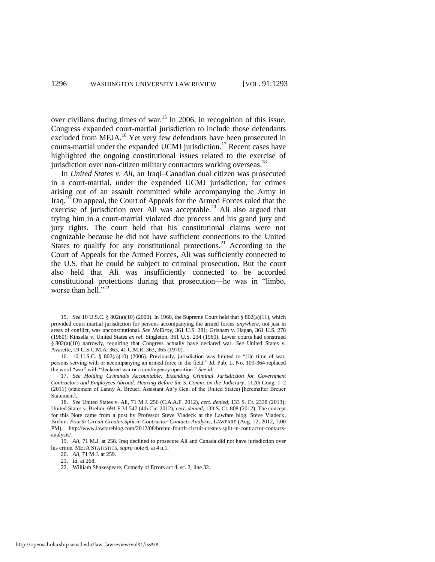over civilians during times of war.<sup>15</sup> In 2006, in recognition of this issue, Congress expanded court-martial jurisdiction to include those defendants excluded from MEJA.<sup>16</sup> Yet very few defendants have been prosecuted in courts-martial under the expanded UCMJ jurisdiction.<sup>17</sup> Recent cases have highlighted the ongoing constitutional issues related to the exercise of jurisdiction over non-citizen military contractors working overseas.<sup>18</sup>

<span id="page-4-0"></span>In *United States v. Ali*, an Iraqi–Canadian dual citizen was prosecuted in a court-martial, under the expanded UCMJ jurisdiction, for crimes arising out of an assault committed while accompanying the Army in Iraq.<sup>19</sup> On appeal, the Court of Appeals for the Armed Forces ruled that the exercise of jurisdiction over Ali was acceptable.<sup>20</sup> Ali also argued that trying him in a court-martial violated due process and his grand jury and jury rights. The court held that his constitutional claims were not cognizable because he did not have sufficient connections to the United States to qualify for any constitutional protections.<sup>21</sup> According to the Court of Appeals for the Armed Forces, Ali was sufficiently connected to the U.S. that he could be subject to criminal prosecution. But the court also held that Ali was insufficiently connected to be accorded constitutional protections during that prosecution—he was in "limbo, worse than hell."<sup>22</sup>

<sup>15.</sup> *See* 10 U.S.C. § 802(a)(10) (2000). In 1960, the Supreme Court held that § 802(a)(11), which provided court martial jurisdiction for persons accompanying the armed forces *anywhere*, not just in areas of conflict, was unconstitutional. *See McElroy*, 361 U.S. 281; Grisham v. Hagan, 361 U.S. 278 (1960); Kinsella v. United States *ex rel.* Singleton, 361 U.S. 234 (1960). Lower courts had construed § 802(a)(10) narrowly, requiring that Congress actually have declared war. *See* United States v. Avarette, 19 U.S.C.M.A. 363, 41 C.M.R. 363, 365 (1970).

<sup>16. 10</sup> U.S.C. § 802(a)(10) (2006). Previously, jurisdiction was limited to "[i]n time of war, persons serving with or accompanying an armed force in the field." *Id.* Pub. L. No. 109-364 replaced the word "war" with "declared war or a contingency operation." *See id.*

<sup>17.</sup> *See Holding Criminals Accountable: Extending Criminal Jurisdiction for Government Contractors and Employees Abroad: Hearing Before the S. Comm. on the Judiciary*, 112th Cong. 1–2 (2011) (statement of Lanny A. Breuer, Assistant Att'y Gen. of the United States) [hereinafter Breuer Statement].

<sup>18.</sup> *See* United States v. Ali, 71 M.J. 256 (C.A.A.F. 2012), *cert. denied*, 133 S. Ct. 2338 (2013); United States v. Brehm, 691 F.3d 547 (4th Cir. 2012), *cert. denied*, 133 S. Ct. 808 (2012). The concept for this Note came from a post by Professor Steve Vladeck at the Lawfare blog. Steve Vladeck, Brehm*: Fourth Circuit Creates Split in Contractor-Contacts Analysis*, LAWFARE (Aug. 12, 2012, 7:00 PM), http://www.lawfareblog.com/2012/08/brehm-fourth-circuit-creates-split-in-contractor-contactsanalysis/.

<sup>19.</sup> *Ali*, 71 M.J. at 258. Iraq declined to prosecute Ali and Canada did not have jurisdiction over his crime. MEJA STATISTICS, *supra* not[e 6,](#page-2-2) at 4 n.1.

<sup>20.</sup> *Ali*, 71 M.J. at 259.

<sup>21.</sup> *Id.* at 268.

<sup>22.</sup> William Shakespeare, Comedy of Errors act 4, sc. 2, line 32.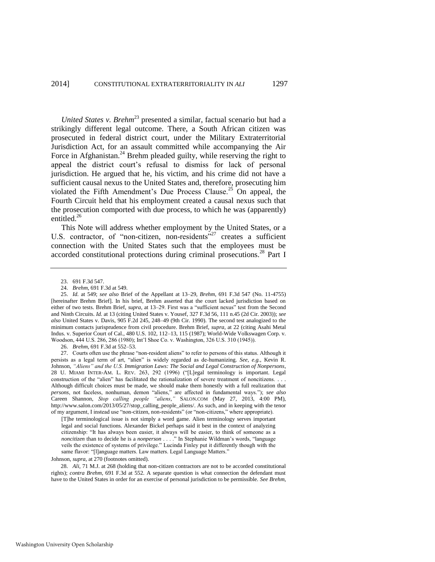*United States v. Brehm*<sup>23</sup> presented a similar, factual scenario but had a strikingly different legal outcome. There, a South African citizen was prosecuted in federal district court, under the Military Extraterritorial Jurisdiction Act, for an assault committed while accompanying the Air Force in Afghanistan.<sup>24</sup> Brehm pleaded guilty, while reserving the right to appeal the district court's refusal to dismiss for lack of personal jurisdiction. He argued that he, his victim, and his crime did not have a sufficient causal nexus to the United States and, therefore, prosecuting him violated the Fifth Amendment's Due Process Clause.<sup>25</sup> On appeal, the Fourth Circuit held that his employment created a causal nexus such that the prosecution comported with due process, to which he was (apparently) entitled.<sup>26</sup>

This Note will address whether employment by the United States, or a U.S. contractor, of "non-citizen, non-residents"<sup>527</sup> creates a sufficient connection with the United States such that the employees must be accorded constitutional protections during criminal prosecutions.<sup>28</sup> Part I

26. *Brehm*, 691 F.3d at 552–53.

27. Courts often use the phrase "non-resident aliens" to refer to persons of this status. Although it persists as a legal term of art, "alien" is widely regarded as de-humanizing. *See, e.g.*, Kevin R. Johnson, *"Aliens" and the U.S. Immigration Laws: The Social and Legal Construction of Nonpersons*, 28 U. MIAMI INTER-AM. L. REV. 263, 292 (1996) ("[L]egal terminology is important. Legal construction of the "alien" has facilitated the rationalization of severe treatment of noncitizens. . . . Although difficult choices must be made, we should make them honestly with a full realization that *persons*, not faceless, nonhuman, demon "aliens," are affected in fundamental ways."); *see also* Careen Shannon, *Stop calling people "aliens*,*"* SALON.COM (May 27, 2013, 4:00 PM), http://www.salon.com/2013/05/27/stop\_calling\_people\_aliens/. As such, and in keeping with the tenor of my argument, I instead use "non-citizen, non-residents" (or "non-citizens," where appropriate).

[T]he terminological issue is not simply a word game. Alien terminology serves important legal and social functions. Alexander Bickel perhaps said it best in the context of analyzing citizenship: "It has always been easier, it always will be easier, to think of someone as a *noncitizen* than to decide he is a *nonperson* . . . ." In Stephanie Wildman's words, "language veils the existence of systems of privilege." Lucinda Finley put it differently though with the same flavor: "[l]anguage matters. Law matters. Legal Language Matters."

Johnson, *supra*, at 270 (footnotes omitted).

28. *Ali*, 71 M.J. at 268 (holding that non-citizen contractors are not to be accorded constitutional rights); *contra Brehm*, 691 F.3d at 552. A separate question is what connection the defendant must have to the United States in order for an exercise of personal jurisdiction to be permissible. *See Brehm*,

<span id="page-5-0"></span><sup>23. 691</sup> F.3d 547.

<sup>24.</sup> *Brehm*, 691 F.3d at 549.

<sup>25.</sup> *Id.* at 549; *see also* Brief of the Appellant at 13–29, *Brehm*, 691 F.3d 547 (No. 11-4755) [hereinafter Brehm Brief]. In his brief, Brehm asserted that the court lacked jurisdiction based on either of two tests. Brehm Brief, *supra*, at 13–29. First was a "sufficient nexus" test from the Second and Ninth Circuits. *Id.* at 13 (citing United States v. Yousef, 327 F.3d 56, 111 n.45 (2d Cir. 2003)); *see also* United States v. Davis, 905 F.2d 245, 248–49 (9th Cir. 1990). The second test analogized to the minimum contacts jurisprudence from civil procedure. Brehm Brief, *supra*, at 22 (citing Asahi Metal Indus. v. Superior Court of Cal., 480 U.S. 102, 112–13, 115 (1987); World-Wide Volkswagen Corp. v. Woodson, 444 U.S. 286, 286 (1980); Int'l Shoe Co. v. Washington, 326 U.S. 310 (1945)).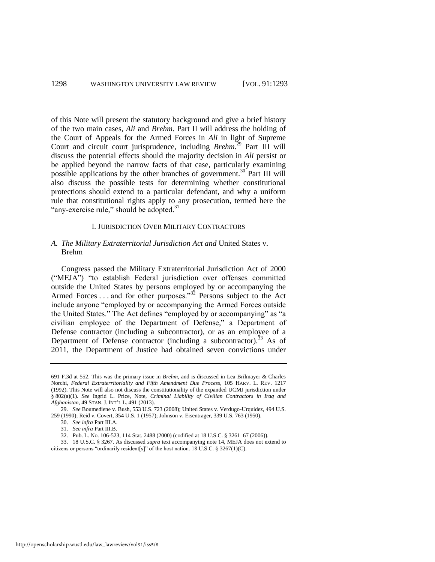of this Note will present the statutory background and give a brief history of the two main cases, *Ali* and *Brehm*. Part II will address the holding of the Court of Appeals for the Armed Forces in *Ali* in light of Supreme Court and circuit court jurisprudence, including *Brehm*. <sup>29</sup> Part III will discuss the potential effects should the majority decision in *Ali* persist or be applied beyond the narrow facts of that case, particularly examining possible applications by the other branches of government.<sup>30</sup> Part III will also discuss the possible tests for determining whether constitutional protections should extend to a particular defendant, and why a uniform rule that constitutional rights apply to any prosecution, termed here the "any-exercise rule," should be adopted.<sup>31</sup>

# I. JURISDICTION OVER MILITARY CONTRACTORS

# *A. The Military Extraterritorial Jurisdiction Act and* United States v. Brehm

Congress passed the Military Extraterritorial Jurisdiction Act of 2000 ("MEJA") "to establish Federal jurisdiction over offenses committed outside the United States by persons employed by or accompanying the Armed Forces . . . and for other purposes."<sup>32</sup> Persons subject to the Act include anyone "employed by or accompanying the Armed Forces outside the United States." The Act defines "employed by or accompanying" as "a civilian employee of the Department of Defense," a Department of Defense contractor (including a subcontractor), or as an employee of a Department of Defense contractor (including a subcontractor).<sup>33</sup> As of 2011, the Department of Justice had obtained seven convictions under

<sup>691</sup> F.3d at 552. This was the primary issue in *Brehm*, and is discussed in Lea Brilmayer & Charles Norchi, *Federal Extraterritoriality and Fifth Amendment Due Process*, 105 HARV. L. REV. 1217 (1992). This Note will also not discuss the constitutionality of the expanded UCMJ jurisdiction under § 802(a)(1). *See* Ingrid L. Price, Note, *Criminal Liability of Civilian Contractors in Iraq and Afghanistan*, 49 STAN. J. INT'L L. 491 (2013).

<sup>29.</sup> *See* Boumediene v. Bush, 553 U.S. 723 (2008); United States v. Verdugo-Urquidez, 494 U.S. 259 (1990); Reid v. Covert, 354 U.S. 1 (1957); Johnson v. Eisentrager, 339 U.S. 763 (1950).

<sup>30.</sup> *See infra* Part III.A.

<sup>31.</sup> *See infra* Part III.B.

<sup>32.</sup> Pub. L. No. 106-523, 114 Stat. 2488 (2000) (codified at 18 U.S.C. § 3261–67 (2006)).

<sup>33. 18</sup> U.S.C. § 3267. As discussed *supra* text accompanying not[e 14,](#page-3-0) MEJA does not extend to citizens or persons "ordinarily resident[s]" of the host nation. 18 U.S.C. § 3267(1)(C).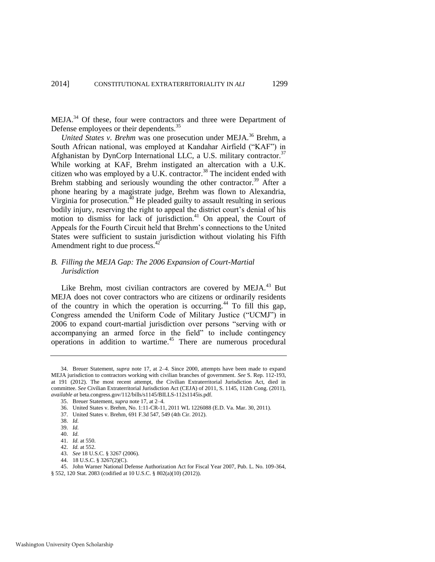MEJA.<sup>34</sup> Of these, four were contractors and three were Department of Defense employees or their dependents.<sup>35</sup>

*United States v. Brehm* was one prosecution under MEJA.<sup>36</sup> Brehm, a South African national, was employed at Kandahar Airfield ("KAF") in Afghanistan by DynCorp International LLC, a U.S. military contractor.<sup>37</sup> While working at KAF, Brehm instigated an altercation with a U.K. citizen who was employed by a U.K. contractor.<sup>38</sup> The incident ended with Brehm stabbing and seriously wounding the other contractor.<sup>39</sup> After a phone hearing by a magistrate judge, Brehm was flown to Alexandria, Virginia for prosecution.<sup> $40$ </sup> He pleaded guilty to assault resulting in serious bodily injury, reserving the right to appeal the district court's denial of his motion to dismiss for lack of jurisdiction.<sup>41</sup> On appeal, the Court of Appeals for the Fourth Circuit held that Brehm's connections to the United States were sufficient to sustain jurisdiction without violating his Fifth Amendment right to due process.<sup>42</sup>

# *B. Filling the MEJA Gap: The 2006 Expansion of Court-Martial Jurisdiction*

<span id="page-7-0"></span>Like Brehm, most civilian contractors are covered by MEJA.<sup>43</sup> But MEJA does not cover contractors who are citizens or ordinarily residents of the country in which the operation is occurring.<sup>44</sup> To fill this gap, Congress amended the Uniform Code of Military Justice ("UCMJ") in 2006 to expand court-martial jurisdiction over persons "serving with or accompanying an armed force in the field" to include contingency operations in addition to wartime.<sup>45</sup> There are numerous procedural

- 36. United States v. Brehm, No. 1:11-CR-11, 2011 WL 1226088 (E.D. Va. Mar. 30, 2011).
- 37. United States v. Brehm, 691 F.3d 547, 549 (4th Cir. 2012).

<span id="page-7-1"></span><sup>34.</sup> Breuer Statement, *supra* note [17,](#page-4-0) at 2–4. Since 2000, attempts have been made to expand MEJA jurisdiction to contractors working with civilian branches of government. *See* S. Rep. 112-193, at 191 (2012). The most recent attempt, the Civilian Extraterritorial Jurisdiction Act, died in committee. *See* Civilian Extraterritorial Jurisdiction Act (CEJA) of 2011, S. 1145, 112th Cong. (2011), *available at* beta.congress.gov/112/bills/s1145/BILLS-112s1145is.pdf.

<sup>35.</sup> Breuer Statement, *supra* not[e 17,](#page-4-0) at 2–4.

<sup>38.</sup> *Id.*

<sup>39.</sup> *Id.*

<sup>40.</sup> *Id.*

<sup>41.</sup> *Id.* at 550.

<sup>42.</sup> *Id.* at 552.

<sup>43.</sup> *See* 18 U.S.C. § 3267 (2006).

<sup>44. 18</sup> U.S.C. § 3267(2)(C).

<sup>45.</sup> John Warner National Defense Authorization Act for Fiscal Year 2007, Pub. L. No. 109-364, § 552, 120 Stat. 2083 (codified at 10 U.S.C. § 802(a)(10) (2012)).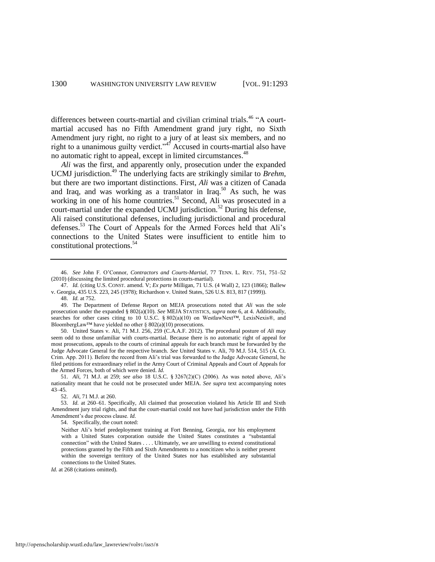<span id="page-8-0"></span>differences between courts-martial and civilian criminal trials.<sup>46</sup> "A courtmartial accused has no Fifth Amendment grand jury right, no Sixth Amendment jury right, no right to a jury of at least six members, and no right to a unanimous guilty verdict." $4^7$  Accused in courts-martial also have no automatic right to appeal, except in limited circumstances.<sup>48</sup>

<span id="page-8-1"></span>*Ali* was the first, and apparently only, prosecution under the expanded UCMJ jurisdiction.<sup>49</sup> The underlying facts are strikingly similar to *Brehm*, but there are two important distinctions. First, *Ali* was a citizen of Canada and Iraq, and was working as a translator in Iraq.<sup>50</sup> As such, he was working in one of his home countries.<sup>51</sup> Second, Ali was prosecuted in a court-martial under the expanded UCMJ jurisdiction.<sup>52</sup> During his defense, Ali raised constitutional defenses, including jurisdictional and procedural defenses.<sup>53</sup> The Court of Appeals for the Armed Forces held that Ali's connections to the United States were insufficient to entitle him to constitutional protections.<sup>54</sup>

48. *Id.* at 752.

49. The Department of Defense Report on MEJA prosecutions noted that *Ali* was the sole prosecution under the expanded § 802(a)(10). *See* MEJA STATISTICS, *supra* not[e 6,](#page-2-2) at 4. Additionally, searches for other cases citing to 10 U.S.C. § 802(a)(10) on WestlawNext™, LexisNexis®, and BloombergLaw™ have yielded no other § 802(a)(10) prosecutions.

50. United States v. Ali, 71 M.J. 256, 259 (C.A.A.F. 2012). The procedural posture of *Ali* may seem odd to those unfamiliar with courts-martial. Because there is no automatic right of appeal for most prosecutions, appeals to the courts of criminal appeals for each branch must be forwarded by the Judge Advocate General for the respective branch. *See* United States v. Ali, 70 M.J. 514, 515 (A. Ct. Crim. App. 2011). Before the record from Ali's trial was forwarded to the Judge Advocate General, he filed petitions for extraordinary relief in the Army Court of Criminal Appeals and Court of Appeals for the Armed Forces, both of which were denied. *Id.*

51. *Ali*, 71 M.J. at 259; *see also* 18 U.S.C. § 3267(2)(C) (2006). As was noted above, Ali's nationality meant that he could not be prosecuted under MEJA. *See supra* text accompanying notes [43](#page-7-0)[–45.](#page-7-1) 

52. *Ali*, 71 M.J. at 260.

53. *Id.* at 260–61. Specifically, Ali claimed that prosecution violated his Article III and Sixth Amendment jury trial rights, and that the court-martial could not have had jurisdiction under the Fifth Amendment's due process clause. *Id.*

54. Specifically, the court noted:

Neither Ali's brief predeployment training at Fort Benning, Georgia, nor his employment with a United States corporation outside the United States constitutes a "substantial connection" with the United States . . . . Ultimately, we are unwilling to extend constitutional protections granted by the Fifth and Sixth Amendments to a noncitizen who is neither present within the sovereign territory of the United States nor has established any substantial connections to the United States.

*Id.* at 268 (citations omitted).

<sup>46.</sup> *See* John F. O'Connor, *Contractors and Courts-Martial*, 77 TENN. L. REV. 751, 751–52 (2010) (discussing the limited procedural protections in courts-martial).

<sup>47.</sup> *Id.* (citing U.S. CONST. amend. V; *Ex parte* Milligan, 71 U.S. (4 Wall) 2, 123 (1866); Ballew v. Georgia, 435 U.S. 223, 245 (1978); Richardson v. United States, 526 U.S. 813, 817 (1999)).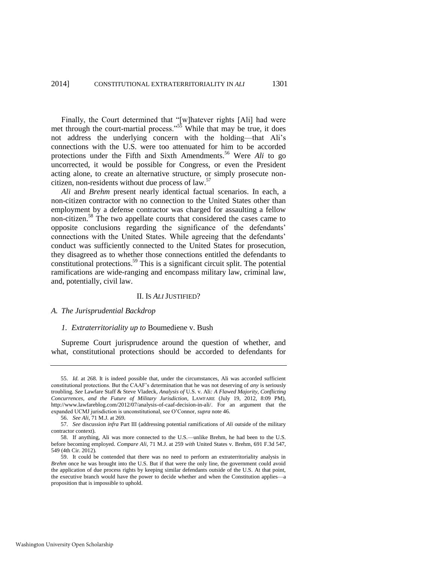<span id="page-9-0"></span>Finally, the Court determined that "[w]hatever rights [Ali] had were met through the court-martial process."<sup>55</sup> While that may be true, it does not address the underlying concern with the holding—that Ali's connections with the U.S. were too attenuated for him to be accorded protections under the Fifth and Sixth Amendments.<sup>56</sup> Were *Ali* to go uncorrected, it would be possible for Congress, or even the President acting alone, to create an alternative structure, or simply prosecute noncitizen, non-residents without due process of law.<sup>57</sup>

*Ali* and *Brehm* present nearly identical factual scenarios. In each, a non-citizen contractor with no connection to the United States other than employment by a defense contractor was charged for assaulting a fellow non-citizen.<sup>58</sup> The two appellate courts that considered the cases came to opposite conclusions regarding the significance of the defendants' connections with the United States. While agreeing that the defendants' conduct was sufficiently connected to the United States for prosecution, they disagreed as to whether those connections entitled the defendants to constitutional protections.<sup>59</sup> This is a significant circuit split. The potential ramifications are wide-ranging and encompass military law, criminal law, and, potentially, civil law.

#### <span id="page-9-1"></span>II. IS *ALI* JUSTIFIED?

#### *A. The Jurisprudential Backdrop*

#### *1. Extraterritoriality up to* Boumediene v. Bush

Supreme Court jurisprudence around the question of whether, and what, constitutional protections should be accorded to defendants for

<sup>55.</sup> *Id.* at 268. It is indeed possible that, under the circumstances, Ali was accorded sufficient constitutional protections. But the CAAF's determination that he was not deserving of *any* is seriously troubling. *See* Lawfare Staff & Steve Vladeck, *Analysis of* U.S. v. Ali*: A Flawed Majority, Conflicting Concurrences, and the Future of Military Jurisdiction*, LAWFARE (July 19, 2012, 8:09 PM), http://www.lawfareblog.com/2012/07/analysis-of-caaf-decision-in-ali/. For an argument that the expanded UCMJ jurisdiction is unconstitutional, see O'Connor, *supra* not[e 46.](#page-8-0)

<sup>56.</sup> *See Ali*, 71 M.J. at 269.

<sup>57.</sup> *See* discussion *infra* Part III (addressing potential ramifications of *Ali* outside of the military contractor context).

<sup>58.</sup> If anything, Ali was more connected to the U.S.—unlike Brehm, he had been to the U.S. before becoming employed. *Compare Ali*, 71 M.J. at 259 *with* United States v. Brehm, 691 F.3d 547, 549 (4th Cir. 2012).

<sup>59.</sup> It could be contended that there was no need to perform an extraterritoriality analysis in *Brehm* once he was brought into the U.S. But if that were the only line, the government could avoid the application of due process rights by keeping similar defendants outside of the U.S. At that point, the executive branch would have the power to decide whether and when the Constitution applies—a proposition that is impossible to uphold.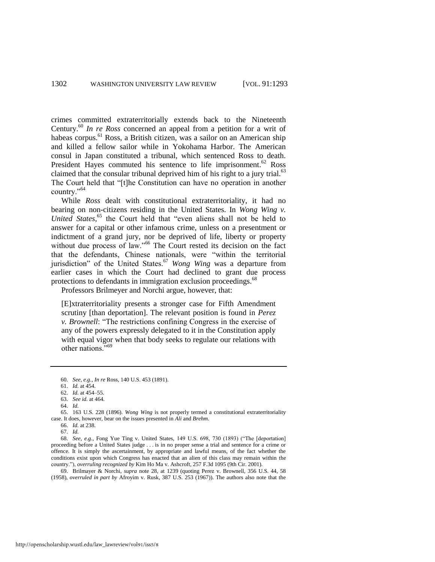crimes committed extraterritorially extends back to the Nineteenth Century.<sup>60</sup> *In re Ross* concerned an appeal from a petition for a writ of habeas corpus.<sup>61</sup> Ross, a British citizen, was a sailor on an American ship and killed a fellow sailor while in Yokohama Harbor. The American consul in Japan constituted a tribunal, which sentenced Ross to death. President Hayes commuted his sentence to life imprisonment.<sup>62</sup> Ross claimed that the consular tribunal deprived him of his right to a jury trial.<sup>63</sup> The Court held that "[t]he Constitution can have no operation in another country."<sup>64</sup>

While *Ross* dealt with constitutional extraterritoriality, it had no bearing on non-citizens residing in the United States. In *Wong Wing v. United States*, <sup>65</sup> the Court held that "even aliens shall not be held to answer for a capital or other infamous crime, unless on a presentment or indictment of a grand jury, nor be deprived of life, liberty or property without due process of law."<sup>66</sup> The Court rested its decision on the fact that the defendants, Chinese nationals, were "within the territorial jurisdiction" of the United States.<sup>67</sup> *Wong Wing* was a departure from earlier cases in which the Court had declined to grant due process protections to defendants in immigration exclusion proceedings.<sup>68</sup>

Professors Brilmeyer and Norchi argue, however, that:

[E]xtraterritoriality presents a stronger case for Fifth Amendment scrutiny [than deportation]. The relevant position is found in *Perez v. Brownell*: "The restrictions confining Congress in the exercise of any of the powers expressly delegated to it in the Constitution apply with equal vigor when that body seeks to regulate our relations with other nations."<sup>69</sup>

65. 163 U.S. 228 (1896). *Wong Wing* is not properly termed a constitutional extraterritoriality case. It does, however, bear on the issues presented in *Ali* and *Brehm*.

<sup>60.</sup> *See, e.g.*, *In re* Ross, 140 U.S. 453 (1891).

<sup>61.</sup> *Id.* at 454.

<sup>62.</sup> *Id.* at 454–55.

<sup>63.</sup> *See id.* at 464.

<sup>64.</sup> *Id.*

<sup>66.</sup> *Id.* at 238.

<sup>67.</sup> *Id.*

<sup>68.</sup> *See, e.g.*, Fong Yue Ting v. United States, 149 U.S. 698, 730 (1893) ("The [deportation] proceeding before a United States judge . . . is in no proper sense a trial and sentence for a crime or offence. It is simply the ascertainment, by appropriate and lawful means, of the fact whether the conditions exist upon which Congress has enacted that an alien of this class may remain within the country."), *overruling recognized by* Kim Ho Ma v. Ashcroft, 257 F.3d 1095 (9th Cir. 2001).

<sup>69.</sup> Brilmayer & Norchi, *supra* note [28,](#page-5-0) at 1239 (quoting Perez v. Brownell, 356 U.S. 44, 58 (1958), *overruled in part by* Afroyim v. Rusk, 387 U.S. 253 (1967)). The authors also note that the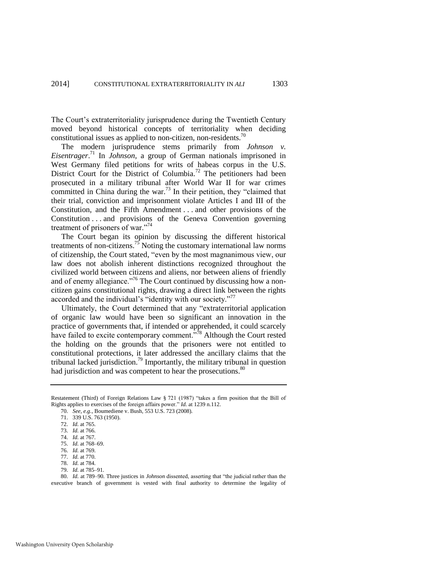The Court's extraterritoriality jurisprudence during the Twentieth Century moved beyond historical concepts of territoriality when deciding constitutional issues as applied to non-citizen, non-residents.<sup>70</sup>

The modern jurisprudence stems primarily from *Johnson v. Eisentrager*. <sup>71</sup> In *Johnson*, a group of German nationals imprisoned in West Germany filed petitions for writs of habeas corpus in the U.S. District Court for the District of Columbia.<sup>72</sup> The petitioners had been prosecuted in a military tribunal after World War II for war crimes committed in China during the war.<sup>73</sup> In their petition, they "claimed that their trial, conviction and imprisonment violate Articles I and III of the Constitution, and the Fifth Amendment . . . and other provisions of the Constitution . . . and provisions of the Geneva Convention governing treatment of prisoners of war."<sup>74</sup>

The Court began its opinion by discussing the different historical treatments of non-citizens.<sup>75</sup> Noting the customary international law norms of citizenship, the Court stated, "even by the most magnanimous view, our law does not abolish inherent distinctions recognized throughout the civilized world between citizens and aliens, nor between aliens of friendly and of enemy allegiance."<sup>76</sup> The Court continued by discussing how a noncitizen gains constitutional rights, drawing a direct link between the rights accorded and the individual's "identity with our society."<sup>77</sup>

Ultimately, the Court determined that any "extraterritorial application of organic law would have been so significant an innovation in the practice of governments that, if intended or apprehended, it could scarcely have failed to excite contemporary comment.<sup> $5\frac{7}{8}$ </sup> Although the Court rested the holding on the grounds that the prisoners were not entitled to constitutional protections, it later addressed the ancillary claims that the tribunal lacked jurisdiction.<sup>79</sup> Importantly, the military tribunal in question had jurisdiction and was competent to hear the prosecutions.<sup>80</sup>

80. *Id.* at 789–90. Three justices in *Johnson* dissented, asserting that "the judicial rather than the executive branch of government is vested with final authority to determine the legality of

Restatement (Third) of Foreign Relations Law § 721 (1987) "takes a firm position that the Bill of Rights applies to exercises of the foreign affairs power." *Id.* at 1239 n.112.

<sup>70.</sup> *See, e.g.*, Boumediene v. Bush, 553 U.S. 723 (2008).

<sup>71. 339</sup> U.S. 763 (1950).

<sup>72.</sup> *Id.* at 765.

<sup>73.</sup> *Id.* at 766.

<sup>74.</sup> *Id.* at 767.

<sup>75.</sup> *Id.* at 768–69.

<sup>76.</sup> *Id.* at 769.

<sup>77.</sup> *Id.* at 770.

<sup>78.</sup> *Id.* at 784.

<sup>79.</sup> *Id.* at 785–91.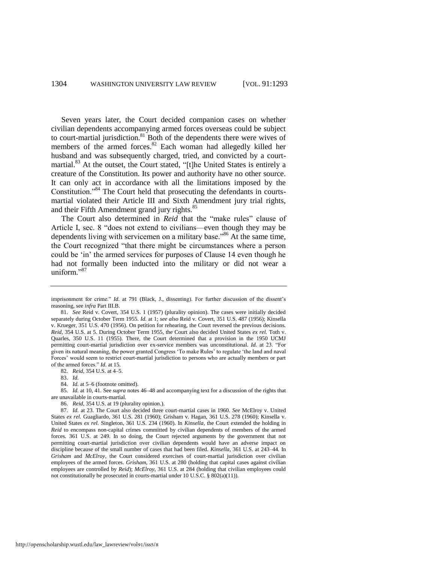Seven years later, the Court decided companion cases on whether civilian dependents accompanying armed forces overseas could be subject to court-martial jurisdiction.<sup>81</sup> Both of the dependents there were wives of members of the armed forces.<sup>82</sup> Each woman had allegedly killed her husband and was subsequently charged, tried, and convicted by a courtmartial.<sup>83</sup> At the outset, the Court stated, "[t]he United States is entirely a creature of the Constitution. Its power and authority have no other source. It can only act in accordance with all the limitations imposed by the Constitution."<sup>84</sup> The Court held that prosecuting the defendants in courtsmartial violated their Article III and Sixth Amendment jury trial rights, and their Fifth Amendment grand jury rights.<sup>85</sup>

The Court also determined in *Reid* that the "make rules" clause of Article I, sec. 8 "does not extend to civilians—even though they may be dependents living with servicemen on a military base."<sup>86</sup> At the same time, the Court recognized "that there might be circumstances where a person could be 'in' the armed services for purposes of Clause 14 even though he had not formally been inducted into the military or did not wear a uniform."<sup>87</sup>

82. *Reid*, 354 U.S. at 4–5.

84. *Id.* at 5–6 (footnote omitted).

85. *Id.* at 10, 41. See *supra* note[s 46](#page-8-0)[–48](#page-8-1) and accompanying text for a discussion of the rights that are unavailable in courts-martial.

86. *Reid*, 354 U.S. at 19 (plurality opinion.).

imprisonment for crime." *Id.* at 791 (Black, J., dissenting). For further discussion of the dissent's reasoning, see *infra* Part III.B.

<sup>81.</sup> *See* Reid v. Covert, 354 U.S. 1 (1957) (plurality opinion). The cases were initially decided separately during October Term 1955. *Id.* at 1; *see also* Reid v. Covert, 351 U.S. 487 (1956); Kinsella v. Krueger, 351 U.S. 470 (1956). On petition for rehearing, the Court reversed the previous decisions. *Reid*, 354 U.S. at 5. During October Term 1955, the Court also decided United States *ex rel.* Toth v. Quarles, 350 U.S. 11 (1955). There, the Court determined that a provision in the 1950 UCMJ permitting court-martial jurisdiction over ex-service members was unconstitutional. *Id.* at 23. "For given its natural meaning, the power granted Congress 'To make Rules' to regulate 'the land and naval Forces' would seem to restrict court-martial jurisdiction to persons who are actually members or part of the armed forces." *Id.* at 15.

<sup>83.</sup> *Id.*

<sup>87.</sup> *Id.* at 23. The Court also decided three court-martial cases in 1960. *See* McElroy v. United States *ex rel.* Guagliardo, 361 U.S. 281 (1960); Grisham v. Hagan, 361 U.S. 278 (1960); Kinsella v. United States *ex rel.* Singleton, 361 U.S. 234 (1960). In *Kinsella*, the Court extended the holding in *Reid* to encompass non-capital crimes committed by civilian dependents of members of the armed forces. 361 U.S. at 249. In so doing, the Court rejected arguments by the government that not permitting court-martial jurisdiction over civilian dependents would have an adverse impact on discipline because of the small number of cases that had been filed. *Kinsella*, 361 U.S. at 243–44. In *Grisham* and *McElroy*, the Court considered exercises of court-martial jurisdiction over civilian employees of the armed forces. *Grisham*, 361 U.S. at 280 (holding that capital cases against civilian employees are controlled by *Reid*); *McElroy*, 361 U.S. at 284 (holding that civilian employees could not constitutionally be prosecuted in courts-martial under 10 U.S.C. § 802(a)(11)).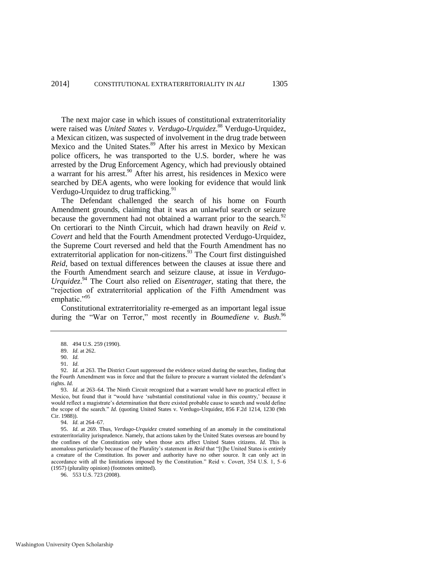The next major case in which issues of constitutional extraterritoriality were raised was *United States v. Verdugo-Urquidez*. <sup>88</sup> Verdugo-Urquidez, a Mexican citizen, was suspected of involvement in the drug trade between Mexico and the United States.<sup>89</sup> After his arrest in Mexico by Mexican police officers, he was transported to the U.S. border, where he was arrested by the Drug Enforcement Agency, which had previously obtained a warrant for his arrest.<sup>90</sup> After his arrest, his residences in Mexico were searched by DEA agents, who were looking for evidence that would link Verdugo-Urquidez to drug trafficking.<sup>91</sup>

The Defendant challenged the search of his home on Fourth Amendment grounds, claiming that it was an unlawful search or seizure because the government had not obtained a warrant prior to the search. $92$ On certiorari to the Ninth Circuit, which had drawn heavily on *Reid v. Covert* and held that the Fourth Amendment protected Verdugo-Urquidez, the Supreme Court reversed and held that the Fourth Amendment has no extraterritorial application for non-citizens.<sup>93</sup> The Court first distinguished *Reid*, based on textual differences between the clauses at issue there and the Fourth Amendment search and seizure clause, at issue in *Verdugo-Urquidez*. <sup>94</sup> The Court also relied on *Eisentrager*, stating that there, the "rejection of extraterritorial application of the Fifth Amendment was emphatic."<sup>95</sup>

Constitutional extraterritoriality re-emerged as an important legal issue during the "War on Terror," most recently in *Boumediene* v. Bush.<sup>96</sup>

94. *Id.* at 264–67.

96. 553 U.S. 723 (2008).

<sup>88. 494</sup> U.S. 259 (1990).

<sup>89.</sup> *Id.* at 262.

<sup>90.</sup> *Id.*

<sup>91.</sup> *Id.*

<sup>92.</sup> *Id.* at 263. The District Court suppressed the evidence seized during the searches, finding that the Fourth Amendment was in force and that the failure to procure a warrant violated the defendant's rights. *Id.*

<sup>93.</sup> *Id.* at 263–64. The Ninth Circuit recognized that a warrant would have no practical effect in Mexico, but found that it "would have 'substantial constitutional value in this country,' because it would reflect a magistrate's determination that there existed probable cause to search and would define the scope of the search." *Id.* (quoting United States v. Verdugo-Urquidez, 856 F.2d 1214, 1230 (9th Cir. 1988)).

<sup>95.</sup> *Id.* at 269. Thus, *Verdugo-Urquidez* created something of an anomaly in the constitutional extraterritoriality jurisprudence. Namely, that actions taken by the United States overseas are bound by the confines of the Constitution only when those acts affect United States citizens. *Id.* This is anomalous particularly because of the Plurality's statement in *Reid* that "[t]he United States is entirely a creature of the Constitution. Its power and authority have no other source. It can only act in accordance with all the limitations imposed by the Constitution." Reid v. Covert, 354 U.S. 1, 5–6 (1957) (plurality opinion) (footnotes omitted).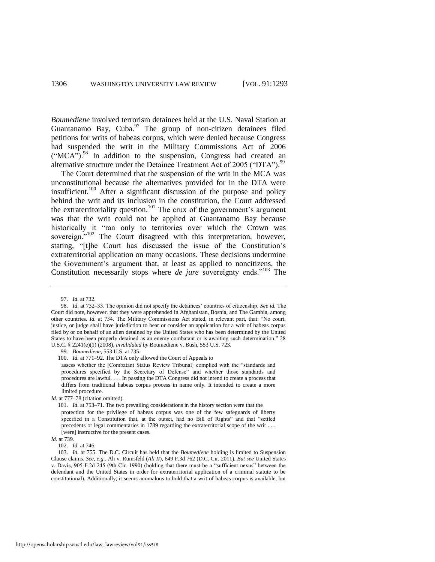*Boumediene* involved terrorism detainees held at the U.S. Naval Station at Guantanamo Bay, Cuba. $97$  The group of non-citizen detainees filed petitions for writs of habeas corpus, which were denied because Congress had suspended the writ in the Military Commissions Act of 2006  $("MCA")$ .<sup>98</sup> In addition to the suspension, Congress had created an alternative structure under the Detainee Treatment Act of 2005 ("DTA").<sup>99</sup>

The Court determined that the suspension of the writ in the MCA was unconstitutional because the alternatives provided for in the DTA were insufficient.<sup>100</sup> After a significant discussion of the purpose and policy behind the writ and its inclusion in the constitution, the Court addressed the extraterritoriality question.<sup>101</sup> The crux of the government's argument was that the writ could not be applied at Guantanamo Bay because historically it "ran only to territories over which the Crown was sovereign."<sup>102</sup> The Court disagreed with this interpretation, however, stating, "[t]he Court has discussed the issue of the Constitution's extraterritorial application on many occasions. These decisions undermine the Government's argument that, at least as applied to noncitizens, the Constitution necessarily stops where *de jure* sovereignty ends."<sup>103</sup> The

99. *Boumediene*, 553 U.S. at 735.

100. *Id.* at 771–92. The DTA only allowed the Court of Appeals to

assess whether the [Combatant Status Review Tribunal] complied with the "standards and procedures specified by the Secretary of Defense" and whether those standards and procedures are lawful. . . . In passing the DTA Congress did not intend to create a process that differs from traditional habeas corpus process in name only. It intended to create a more limited procedure.

101. *Id.* at 753–71. The two prevailing considerations in the history section were that the protection for the privilege of habeas corpus was one of the few safeguards of liberty specified in a Constitution that, at the outset, had no Bill of Rights" and that "settled precedents or legal commentaries in 1789 regarding the extraterritorial scope of the writ . . . [were] instructive for the present cases.

*Id.* at 739.

102. *Id.* at 746.

103. *Id.* at 755. The D.C. Circuit has held that the *Boumediene* holding is limited to Suspension Clause claims. *See, e.g.*, Ali v. Rumsfeld (*Ali II*), 649 F.3d 762 (D.C. Cir. 2011). *But see* United States v. Davis, 905 F.2d 245 (9th Cir. 1990) (holding that there must be a "sufficient nexus" between the defendant and the United States in order for extraterritorial application of a criminal statute to be constitutional). Additionally, it seems anomalous to hold that a writ of habeas corpus is available, but

<sup>97.</sup> *Id.* at 732.

<sup>98.</sup> *Id.* at 732–33. The opinion did not specify the detainees' countries of citizenship. *See id.* The Court did note, however, that they were apprehended in Afghanistan, Bosnia, and The Gambia, among other countries. *Id.* at 734. The Military Commissions Act stated, in relevant part, that: "No court, justice, or judge shall have jurisdiction to hear or consider an application for a writ of habeas corpus filed by or on behalf of an alien detained by the United States who has been determined by the United States to have been properly detained as an enemy combatant or is awaiting such determination." 28 U.S.C. § 2241(e)(1) (2008), *invalidated by* Boumediene v. Bush, 553 U.S. 723.

*Id.* at 777–78 (citation omitted).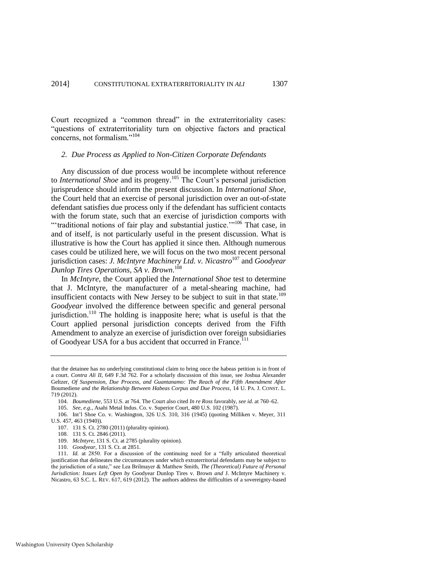Court recognized a "common thread" in the extraterritoriality cases: "questions of extraterritoriality turn on objective factors and practical concerns, not formalism."<sup>104</sup>

#### *2. Due Process as Applied to Non-Citizen Corporate Defendants*

Any discussion of due process would be incomplete without reference to *International Shoe* and its progeny.<sup>105</sup> The Court's personal jurisdiction jurisprudence should inform the present discussion. In *International Shoe*, the Court held that an exercise of personal jurisdiction over an out-of-state defendant satisfies due process only if the defendant has sufficient contacts with the forum state, such that an exercise of jurisdiction comports with "'traditional notions of fair play and substantial justice.'"<sup>106</sup> That case, in and of itself, is not particularly useful in the present discussion. What is illustrative is how the Court has applied it since then. Although numerous cases could be utilized here, we will focus on the two most recent personal jurisdiction cases: *J. McIntyre Machinery Ltd. v. Nicastro*<sup>107</sup> and *Goodyear Dunlop Tires Operations, SA v. Brown*. 108

In *McIntyre*, the Court applied the *International Shoe* test to determine that J. McIntyre, the manufacturer of a metal-shearing machine, had insufficient contacts with New Jersey to be subject to suit in that state.<sup>109</sup> *Goodyear* involved the difference between specific and general personal jurisdiction.<sup>110</sup> The holding is inapposite here; what is useful is that the Court applied personal jurisdiction concepts derived from the Fifth Amendment to analyze an exercise of jurisdiction over foreign subsidiaries of Goodyear USA for a bus accident that occurred in France.<sup>111</sup>

that the detainee has no underlying constitutional claim to bring once the habeas petition is in front of a court. *Contra Ali II*, 649 F.3d 762. For a scholarly discussion of this issue, see Joshua Alexander Geltzer, *Of Suspension, Due Process, and Guantanamo: The Reach of the Fifth Amendment After*  Boumediene *and the Relationship Between Habeas Corpus and Due Process*, 14 U. PA. J. CONST. L. 719 (2012).

<sup>104.</sup> *Boumediene*, 553 U.S. at 764. The Court also cited *In re Ross* favorably, *see id.* at 760–62.

<sup>105.</sup> *See, e.g.*, Asahi Metal Indus. Co. v. Superior Court, 480 U.S. 102 (1987).

<sup>106.</sup> Int'l Shoe Co. v. Washington, 326 U.S. 310, 316 (1945) (quoting Milliken v. Meyer, 311 U.S. 457, 463 (1940)).

<sup>107. 131</sup> S. Ct. 2780 (2011) (plurality opinion).

<sup>108. 131</sup> S. Ct. 2846 (2011).

<sup>109.</sup> *McIntyre*, 131 S. Ct. at 2785 (plurality opinion).

<sup>110.</sup> *Goodyear*, 131 S. Ct. at 2851.

<sup>111.</sup> *Id.* at 2850. For a discussion of the continuing need for a "fully articulated theoretical justification that delineates the circumstances under which extraterritorial defendants may be subject to the jurisdiction of a state," see Lea Brilmayer & Matthew Smith, *The (Theoretical) Future of Personal Jurisdiction: Issues Left Open by* Goodyear Dunlop Tires v. Brown *and* J. McIntyre Machinery v. Nicastro, 63 S.C. L. REV. 617, 619 (2012). The authors address the difficulties of a sovereignty-based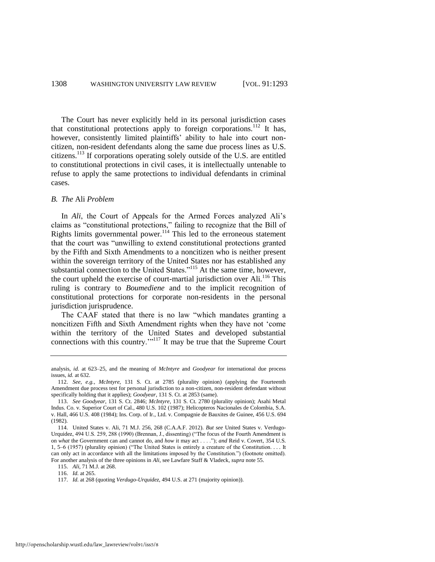The Court has never explicitly held in its personal jurisdiction cases that constitutional protections apply to foreign corporations.<sup>112</sup> It has, however, consistently limited plaintiffs' ability to hale into court noncitizen, non-resident defendants along the same due process lines as U.S. citizens.<sup>113</sup> If corporations operating solely outside of the U.S. are entitled to constitutional protections in civil cases, it is intellectually untenable to refuse to apply the same protections to individual defendants in criminal cases.

### *B. The* Ali *Problem*

In *Ali*, the Court of Appeals for the Armed Forces analyzed Ali's claims as "constitutional protections," failing to recognize that the Bill of Rights limits governmental power.<sup>114</sup> This led to the erroneous statement that the court was "unwilling to extend constitutional protections granted by the Fifth and Sixth Amendments to a noncitizen who is neither present within the sovereign territory of the United States nor has established any substantial connection to the United States."<sup>115</sup> At the same time, however, the court upheld the exercise of court-martial jurisdiction over  $\text{Ali}^{116}$  This ruling is contrary to *Boumediene* and to the implicit recognition of constitutional protections for corporate non-residents in the personal jurisdiction jurisprudence.

The CAAF stated that there is no law "which mandates granting a noncitizen Fifth and Sixth Amendment rights when they have not 'come within the territory of the United States and developed substantial connections with this country."<sup>117</sup> It may be true that the Supreme Court

analysis, *id.* at 623–25, and the meaning of *McIntyre* and *Goodyear* for international due process issues, *id.* at 632.

<sup>112.</sup> *See, e.g.*, *McIntyre*, 131 S. Ct. at 2785 (plurality opinion) (applying the Fourteenth Amendment due process test for personal jurisdiction to a non-citizen, non-resident defendant without specifically holding that it applies); *Goodyear*, 131 S. Ct. at 2853 (same).

<sup>113.</sup> *See Goodyear*, 131 S. Ct. 2846; *McIntyre*, 131 S. Ct. 2780 (plurality opinion); Asahi Metal Indus. Co. v. Superior Court of Cal., 480 U.S. 102 (1987); Helicopteros Nacionales de Colombia, S.A. v. Hall, 466 U.S. 408 (1984); Ins. Corp. of Ir., Ltd. v. Compagnie de Bauxites de Guinee, 456 U.S. 694 (1982).

<sup>114.</sup> United States v. Ali, 71 M.J. 256, 268 (C.A.A.F. 2012). *But see* United States v. Verdugo-Urquidez, 494 U.S. 259, 288 (1990) (Brennan, J., dissenting) ("The focus of the Fourth Amendment is on *what* the Government can and cannot do, and *how* it may act . . . ."); *and* Reid v. Covert, 354 U.S. 1, 5–6 (1957) (plurality opinion) ("The United States is entirely a creature of the Constitution. . . . It can only act in accordance with all the limitations imposed by the Constitution.") (footnote omitted). For another analysis of the three opinions in *Ali*, see Lawfare Staff & Vladeck, *supra* not[e 55.](#page-9-0) 

<sup>115.</sup> *Ali*, 71 M.J. at 268.

<sup>116.</sup> *Id.* at 265.

<sup>117.</sup> *Id.* at 268 (quoting *Verdugo-Urquidez*, 494 U.S. at 271 (majority opinion)).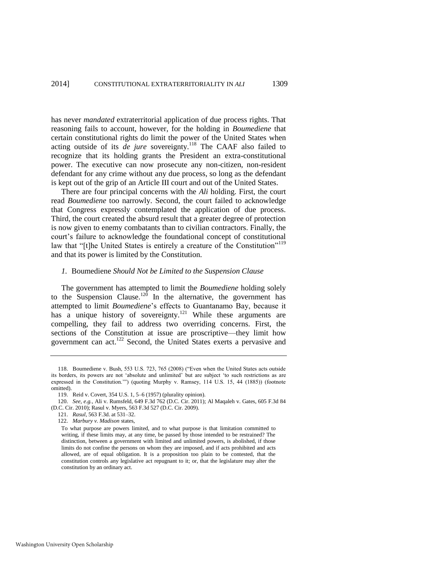has never *mandated* extraterritorial application of due process rights. That reasoning fails to account, however, for the holding in *Boumediene* that certain constitutional rights do limit the power of the United States when acting outside of its *de jure* sovereignty.<sup>118</sup> The CAAF also failed to recognize that its holding grants the President an extra-constitutional power. The executive can now prosecute any non-citizen, non-resident defendant for any crime without any due process, so long as the defendant is kept out of the grip of an Article III court and out of the United States.

There are four principal concerns with the *Ali* holding. First, the court read *Boumediene* too narrowly. Second, the court failed to acknowledge that Congress expressly contemplated the application of due process. Third, the court created the absurd result that a greater degree of protection is now given to enemy combatants than to civilian contractors. Finally, the court's failure to acknowledge the foundational concept of constitutional law that "[t]he United States is entirely a creature of the Constitution"<sup>119</sup> and that its power is limited by the Constitution.

#### *1.* Boumediene *Should Not be Limited to the Suspension Clause*

The government has attempted to limit the *Boumediene* holding solely to the Suspension Clause.<sup>120</sup> In the alternative, the government has attempted to limit *Boumediene*'s effects to Guantanamo Bay, because it has a unique history of sovereignty.<sup>121</sup> While these arguments are compelling, they fail to address two overriding concerns. First, the sections of the Constitution at issue are proscriptive—they limit how government can act.<sup>122</sup> Second, the United States exerts a pervasive and

<sup>118.</sup> Boumediene v. Bush, 553 U.S. 723, 765 (2008) ("Even when the United States acts outside its borders, its powers are not 'absolute and unlimited' but are subject 'to such restrictions as are expressed in the Constitution."") (quoting Murphy v. Ramsey, 114 U.S. 15, 44 (1885)) (footnote omitted).

<sup>119.</sup> Reid v. Covert, 354 U.S. 1, 5–6 (1957) (plurality opinion).

<sup>120.</sup> *See, e.g.*, Ali v. Rumsfeld, 649 F.3d 762 (D.C. Cir. 2011); Al Maqaleh v. Gates, 605 F.3d 84 (D.C. Cir. 2010); Rasul v. Myers, 563 F.3d 527 (D.C. Cir. 2009).

<sup>121.</sup> *Rasul*, 563 F.3d. at 531–32.

<sup>122.</sup> *Marbury v. Madison* states,

To what purpose are powers limited, and to what purpose is that limitation committed to writing, if these limits may, at any time, be passed by those intended to be restrained? The distinction, between a government with limited and unlimited powers, is abolished, if those limits do not confine the persons on whom they are imposed, and if acts prohibited and acts allowed, are of equal obligation. It is a proposition too plain to be contested, that the constitution controls any legislative act repugnant to it; or, that the legislature may alter the constitution by an ordinary act.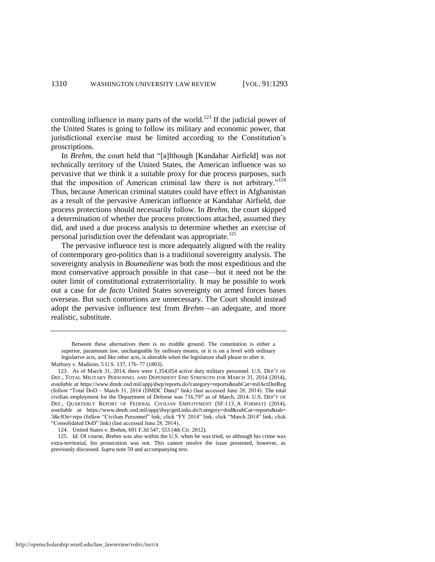controlling influence in many parts of the world.<sup>123</sup> If the judicial power of the United States is going to follow its military and economic power, that jurisdictional exercise must be limited according to the Constitution's proscriptions.

In *Brehm*, the court held that "[a]lthough [Kandahar Airfield] was not technically territory of the United States, the American influence was so pervasive that we think it a suitable proxy for due process purposes, such that the imposition of American criminal law there is not arbitrary."<sup>124</sup> Thus, because American criminal statutes could have effect in Afghanistan as a result of the pervasive American influence at Kandahar Airfield, due process protections should necessarily follow. In *Brehm*, the court skipped a determination of whether due process protections attached, assumed they did, and used a due process analysis to determine whether an exercise of personal jurisdiction over the defendant was appropriate.<sup>125</sup>

The pervasive influence test is more adequately aligned with the reality of contemporary geo-politics than is a traditional sovereignty analysis. The sovereignty analysis in *Boumediene* was both the most expeditious and the most conservative approach possible in that case—but it need not be the outer limit of constitutional extraterritoriality. It may be possible to work out a case for *de facto* United States sovereignty on armed forces bases overseas. But such contortions are unnecessary. The Court should instead adopt the pervasive influence test from *Brehm*—an adequate, and more realistic, substitute.

Between these alternatives there is no middle ground. The constitution is either a superior, paramount law, unchangeable by ordinary means, or it is on a level with ordinary legislative acts, and like other acts, is alterable when the legislature shall please to alter it. Marbury v. Madison, 5 U.S. 137, 176–77 (1803).

<sup>123.</sup> As of March 31, 2014, there were 1,354,054 active duty military personnel. U.S. DEP'T OF DEF., TOTAL MILITARY PERSONNEL AND DEPENDENT END STRENGTH FOR MARCH 31, 2014 (2014), *available at* https://www.dmdc.osd.mil/appj/dwp/reports.do?category=reports&subCat=milActDutReg (follow "Total DoD – March 31, 2014 (DMDC Data)" link) (last accessed June 28, 2014). The total civilian employment for the Department of Defense was 716,797 as of March, 2014. U.S. DEP'T OF DEF., QUARTERLY REPORT OF FEDERAL CIVILIAN EMPLOYMENT (SF-113\_A FORMAT) (2014), *available at* https://www.dmdc.osd.mil/appj/dwp/getLinks.do?category=dod&subCat=reports&tab= 3&clOn=reps (follow "Civilian Personnel" link; click "FY 2014" link; click "March 2014" link; click "Consolidated DoD" link) (last accessed June 28, 2014).

<sup>124.</sup> United States v. Brehm, 691 F.3d 547, 553 (4th Cir. 2012).

<sup>125.</sup> *Id.* Of course, Brehm was also within the U.S. when he was tried, so although his crime was extra-territorial, his prosecution was not. This cannot resolve the issue presented, however, as previously discussed. *Supra* not[e 59 a](#page-9-1)nd accompanying text.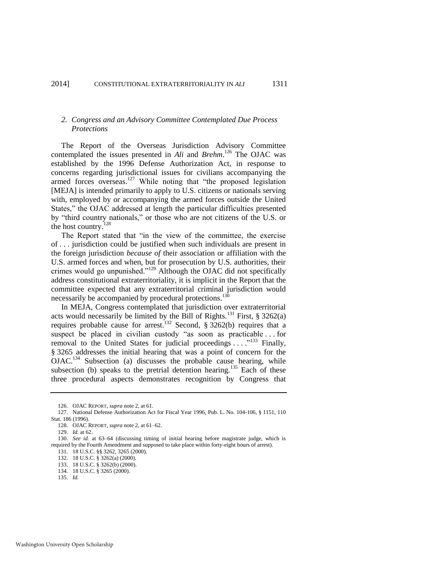# *2. Congress and an Advisory Committee Contemplated Due Process Protections*

The Report of the Overseas Jurisdiction Advisory Committee contemplated the issues presented in *Ali* and *Brehm*. <sup>126</sup> The OJAC was established by the 1996 Defense Authorization Act, in response to concerns regarding jurisdictional issues for civilians accompanying the armed forces overseas. $127$  While noting that "the proposed legislation [MEJA] is intended primarily to apply to U.S. citizens or nationals serving with, employed by or accompanying the armed forces outside the United States," the OJAC addressed at length the particular difficulties presented by "third country nationals," or those who are not citizens of the U.S. or the host country.<sup>128</sup>

The Report stated that "in the view of the committee, the exercise of . . . jurisdiction could be justified when such individuals are present in the foreign jurisdiction *because of* their association or affiliation with the U.S. armed forces and when, but for prosecution by U.S. authorities, their crimes would go unpunished."<sup>129</sup> Although the OJAC did not specifically address constitutional extraterritoriality, it is implicit in the Report that the committee expected that any extraterritorial criminal jurisdiction would necessarily be accompanied by procedural protections.<sup>130</sup>

In MEJA, Congress contemplated that jurisdiction over extraterritorial acts would necessarily be limited by the Bill of Rights.<sup>131</sup> First, § 3262(a) requires probable cause for arrest.<sup>132</sup> Second, § 3262(b) requires that a suspect be placed in civilian custody "as soon as practicable . . . for removal to the United States for judicial proceedings  $\dots$ ."<sup>133</sup> Finally, § 3265 addresses the initial hearing that was a point of concern for the OJAC.<sup>134</sup> Subsection (a) discusses the probable cause hearing, while subsection (b) speaks to the pretrial detention hearing.<sup>135</sup> Each of these three procedural aspects demonstrates recognition by Congress that

<sup>126.</sup> OJAC REPORT, *supra* not[e 2,](#page-2-0) at 61.

<sup>127.</sup> National Defense Authorization Act for Fiscal Year 1996, Pub. L. No. 104-106, § 1151, 110 Stat. 186 (1996).

<sup>128.</sup> OJAC REPORT, *supra* not[e 2,](#page-2-0) at 61–62.

<sup>129.</sup> *Id.* at 62.

<sup>130.</sup> *See id.* at 63–64 (discussing timing of initial hearing before magistrate judge, which is required by the Fourth Amendment and supposed to take place within forty-eight hours of arrest).

<sup>131. 18</sup> U.S.C. §§ 3262, 3265 (2000).

<sup>132. 18</sup> U.S.C. § 3262(a) (2000).

<sup>133. 18</sup> U.S.C. § 3262(b) (2000).

<sup>134. 18</sup> U.S.C. § 3265 (2000).

<sup>135.</sup> *Id.*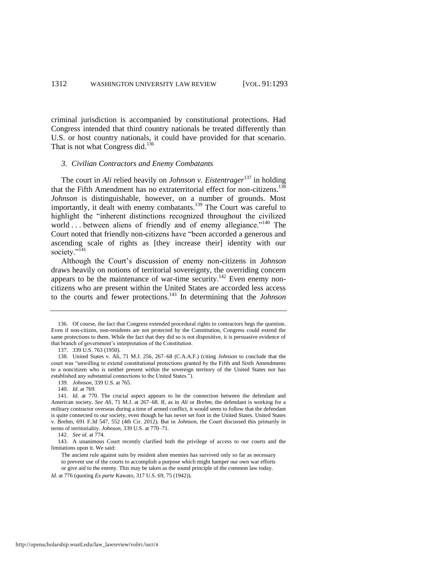criminal jurisdiction is accompanied by constitutional protections. Had Congress intended that third country nationals be treated differently than U.S. or host country nationals, it could have provided for that scenario. That is not what Congress did.<sup>136</sup>

#### *3. Civilian Contractors and Enemy Combatants*

The court in *Ali* relied heavily on *Johnson v. Eistentrager*<sup>137</sup> in holding that the Fifth Amendment has no extraterritorial effect for non-citizens.<sup>138</sup> *Johnson* is distinguishable, however, on a number of grounds. Most importantly, it dealt with enemy combatants.<sup>139</sup> The Court was careful to highlight the "inherent distinctions recognized throughout the civilized world . . . between aliens of friendly and of enemy allegiance."<sup>140</sup> The Court noted that friendly non-citizens have "been accorded a generous and ascending scale of rights as [they increase their] identity with our society."<sup>141</sup>

Although the Court's discussion of enemy non-citizens in *Johnson* draws heavily on notions of territorial sovereignty, the overriding concern appears to be the maintenance of war-time security.<sup>142</sup> Even enemy noncitizens who are present within the United States are accorded less access to the courts and fewer protections.<sup>143</sup> In determining that the *Johnson*

139. *Johnson*, 339 U.S. at 765.

142. *See id.* at 774.

<sup>136.</sup> Of course, the fact that Congress extended procedural rights to contractors begs the question. Even if non-citizen, non-residents are not protected by the Constitution, Congress could extend the same protections to them. While the fact that they did so is not dispositive, it is persuasive evidence of that branch of government's interpretation of the Constitution.

<sup>137. 339</sup> U.S. 763 (1950).

<sup>138.</sup> United States v. Ali, 71 M.J. 256, 267–68 (C.A.A.F.) (citing *Johnson* to conclude that the court was "unwilling to extend constitutional protections granted by the Fifth and Sixth Amendments to a noncitizen who is neither present within the sovereign territory of the United States nor has established any substantial connections to the United States.").

<sup>140.</sup> *Id.* at 769.

<sup>141.</sup> *Id.* at 770. The crucial aspect appears to be the connection between the defendant and American society. *See Ali*, 71 M.J. at 267–68. If, as in *Ali* or *Brehm*, the defendant is working for a military contractor overseas during a time of armed conflict, it would seem to follow that the defendant is quite connected to our society, even though he has never set foot in the United States. United States v. Brehm, 691 F.3d 547, 552 (4th Cir. 2012). But in *Johnson*, the Court discussed this primarily in terms of territoriality. *Johnson*, 339 U.S. at 770–71*.*

<sup>143.</sup> A unanimous Court recently clarified both the privilege of access to our courts and the limitations upon it. We said:

The ancient rule against suits by resident alien enemies has survived only so far as necessary to prevent use of the courts to accomplish a purpose which might hamper our own war efforts or give aid to the enemy. This may be taken as the sound principle of the common law today.

*Id.* at 776 (quoting *Ex parte* Kawato, 317 U.S. 69, 75 (1942)).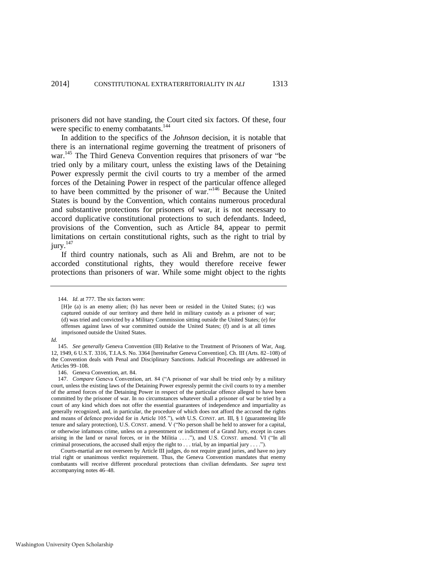prisoners did not have standing, the Court cited six factors. Of these, four were specific to enemy combatants.<sup>144</sup>

<span id="page-21-1"></span><span id="page-21-0"></span>In addition to the specifics of the *Johnson* decision, it is notable that there is an international regime governing the treatment of prisoners of war.<sup>145</sup> The Third Geneva Convention requires that prisoners of war "be tried only by a military court, unless the existing laws of the Detaining Power expressly permit the civil courts to try a member of the armed forces of the Detaining Power in respect of the particular offence alleged to have been committed by the prisoner of war."<sup>146</sup> Because the United States is bound by the Convention, which contains numerous procedural and substantive protections for prisoners of war, it is not necessary to accord duplicative constitutional protections to such defendants. Indeed, provisions of the Convention, such as Article 84, appear to permit limitations on certain constitutional rights, such as the right to trial by jury.<sup>147</sup>

If third country nationals, such as Ali and Brehm, are not to be accorded constitutional rights, they would therefore receive fewer protections than prisoners of war. While some might object to the rights

*Id.* 

146. Geneva Convention, art. 84.

<sup>144.</sup> *Id.* at 777. The six factors were:

<sup>[</sup>H]e (a) is an enemy alien; (b) has never been or resided in the United States; (c) was captured outside of our territory and there held in military custody as a prisoner of war; (d) was tried and convicted by a Military Commission sitting outside the United States; (e) for offenses against laws of war committed outside the United States; (f) and is at all times imprisoned outside the United States.

<sup>145.</sup> *See generally* Geneva Convention (III) Relative to the Treatment of Prisoners of War, Aug. 12, 1949, 6 U.S.T. 3316, T.I.A.S. No. 3364 [hereinafter Geneva Convention]. Ch. III (Arts. 82–108) of the Convention deals with Penal and Disciplinary Sanctions. Judicial Proceedings are addressed in Articles 99–108.

<sup>147.</sup> *Compare* Geneva Convention, art. 84 ("A prisoner of war shall be tried only by a military court, unless the existing laws of the Detaining Power expressly permit the civil courts to try a member of the armed forces of the Detaining Power in respect of the particular offence alleged to have been committed by the prisoner of war. In no circumstances whatever shall a prisoner of war be tried by a court of any kind which does not offer the essential guarantees of independence and impartiality as generally recognized, and, in particular, the procedure of which does not afford the accused the rights and means of defence provided for in Article 105."), *with* U.S. CONST. art. III, § 1 (guaranteeing life tenure and salary protection), U.S. CONST. amend. V ("No person shall be held to answer for a capital, or otherwise infamous crime, unless on a presentment or indictment of a Grand Jury, except in cases arising in the land or naval forces, or in the Militia ...."), and U.S. CONST. amend. VI ("In all criminal prosecutions, the accused shall enjoy the right to . . . trial, by an impartial jury . . . .").

Courts-martial are not overseen by Article III judges, do not require grand juries, and have no jury trial right or unanimous verdict requirement. Thus, the Geneva Convention mandates that enemy combatants will receive different procedural protections than civilian defendants. *See supra* text accompanying note[s 46](#page-8-0)[–48.](#page-8-1)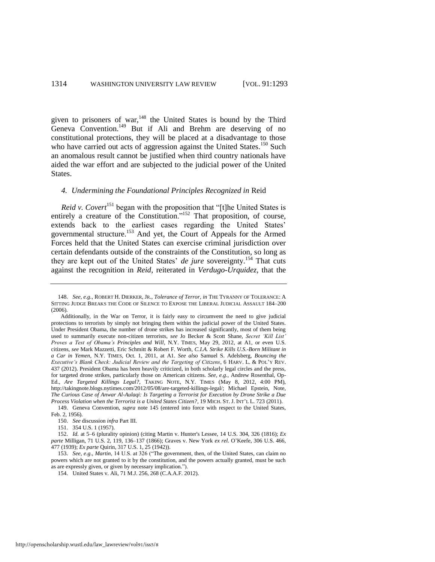<span id="page-22-0"></span>given to prisoners of war,<sup>148</sup> the United States is bound by the Third Geneva Convention.<sup>149</sup> But if Ali and Brehm are deserving of no constitutional protections, they will be placed at a disadvantage to those who have carried out acts of aggression against the United States.<sup>150</sup> Such an anomalous result cannot be justified when third country nationals have aided the war effort and are subjected to the judicial power of the United States.

#### *4. Undermining the Foundational Principles Recognized in* Reid

*Reid v. Covert*<sup>151</sup> began with the proposition that "[t]he United States is entirely a creature of the Constitution."<sup>152</sup> That proposition, of course, extends back to the earliest cases regarding the United States' governmental structure.<sup>153</sup> And yet, the Court of Appeals for the Armed Forces held that the United States can exercise criminal jurisdiction over certain defendants outside of the constraints of the Constitution, so long as they are kept out of the United States' *de jure* sovereignty.<sup>154</sup> That cuts against the recognition in *Reid*, reiterated in *Verdugo-Urquidez*, that the

<sup>148.</sup> *See, e.g.*, ROBERT H. DIERKER, JR., *Tolerance of Terror*, *in* THE TYRANNY OF TOLERANCE: A SITTING JUDGE BREAKS THE CODE OF SILENCE TO EXPOSE THE LIBERAL JUDICIAL ASSAULT 184–200 (2006).

Additionally, in the War on Terror, it is fairly easy to circumvent the need to give judicial protections to terrorists by simply not bringing them within the judicial power of the United States. Under President Obama, the number of drone strikes has increased significantly, most of them being used to summarily execute non-citizen terrorists, *see* Jo Becker & Scott Shane, *Secret 'Kill List' Proves a Test of Obama's Principles and Will*, N.Y. TIMES, May 29, 2012, at A1, or even U.S. citizens, *see* Mark Mazzetti, Eric Schmitt & Robert F. Worth, *C.I.A. Strike Kills U.S.-Born Militant in a Car in Yemen*, N.Y. TIMES, Oct. 1, 2011, at A1. *See also* Samuel S. Adelsberg, *Bouncing the Executive's Blank Check: Judicial Review and the Targeting of Citizens*, 6 HARV. L. & POL'Y REV. 437 (2012). President Obama has been heavily criticized, in both scholarly legal circles and the press, for targeted drone strikes, particularly those on American citizens. *See, e.g.*, Andrew Rosenthal, Op-Ed., *Are Targeted Killings Legal?*, TAKING NOTE, N.Y. TIMES (May 8, 2012, 4:00 PM), http://takingnote.blogs.nytimes.com/2012/05/08/are-targeted-killings-legal/; Michael Epstein, Note, *The Curious Case of Anwar Al-Aulaqi: Is Targeting a Terrorist for Execution by Drone Strike a Due Process Violation when the Terrorist is a United States Citizen?*, 19 MICH. ST. J. INT'L L. 723 (2011).

<sup>149.</sup> Geneva Convention, *supra* note [145](#page-21-0) (entered into force with respect to the United States, Feb. 2, 1956)*.*

<sup>150.</sup> *See* discussion *infra* Part III.

<sup>151. 354</sup> U.S. 1 (1957).

<sup>152.</sup> *Id.* at 5–6 (plurality opinion) (citing Martin v. Hunter's Lessee, 14 U.S. 304, 326 (1816); *Ex parte* Milligan, 71 U.S. 2, 119, 136–137 (1866); Graves v. New York *ex rel.* O'Keefe, 306 U.S. 466, 477 (1939); *Ex parte* Quirin, 317 U.S. 1, 25 (1942)).

<sup>153.</sup> *See, e.g.*, *Martin*, 14 U.S. at 326 ("The government, then, of the United States, can claim no powers which are not granted to it by the constitution, and the powers actually granted, must be such as are expressly given, or given by necessary implication.").

<sup>154.</sup> United States v. Ali, 71 M.J. 256, 268 (C.A.A.F. 2012).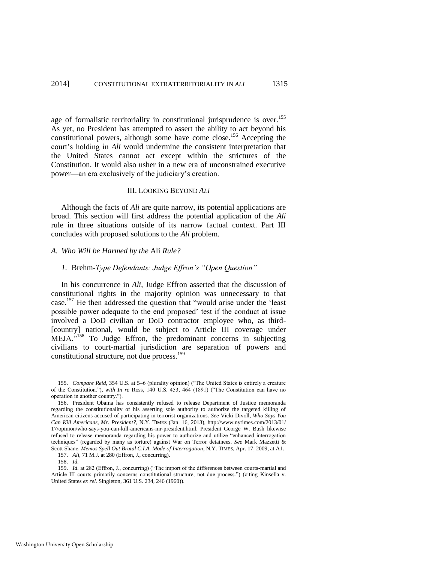age of formalistic territoriality in constitutional jurisprudence is over.<sup>155</sup> As yet, no President has attempted to assert the ability to act beyond his constitutional powers, although some have come close.<sup>156</sup> Accepting the court's holding in *Ali* would undermine the consistent interpretation that the United States cannot act except within the strictures of the Constitution. It would also usher in a new era of unconstrained executive power—an era exclusively of the judiciary's creation.

#### III. LOOKING BEYOND *ALI*

Although the facts of *Ali* are quite narrow, its potential applications are broad. This section will first address the potential application of the *Ali* rule in three situations outside of its narrow factual context. Part III concludes with proposed solutions to the *Ali* problem.

#### *A. Who Will be Harmed by the* Ali *Rule?*

#### *1.* Brehm*-Type Defendants: Judge Effron's "Open Question"*

In his concurrence in *Ali*, Judge Effron asserted that the discussion of constitutional rights in the majority opinion was unnecessary to that case.<sup>157</sup> He then addressed the question that "would arise under the 'least possible power adequate to the end proposed' test if the conduct at issue involved a DoD civilian or DoD contractor employee who, as third- [country] national, would be subject to Article III coverage under MEJA."<sup>158</sup> To Judge Effron, the predominant concerns in subjecting civilians to court-martial jurisdiction are separation of powers and constitutional structure, not due process.<sup>159</sup>

<sup>155.</sup> *Compare Reid*, 354 U.S. at 5–6 (plurality opinion) ("The United States is entirely a creature of the Constitution."), *with In re* Ross, 140 U.S. 453, 464 (1891) ("The Constitution can have no operation in another country.").

<sup>156.</sup> President Obama has consistently refused to release Department of Justice memoranda regarding the constitutionality of his asserting sole authority to authorize the targeted killing of American citizens accused of participating in terrorist organizations. *See* Vicki Divoll, *Who Says You Can Kill Americans, Mr. President?*, N.Y. TIMES (Jan. 16, 2013), http://www.nytimes.com/2013/01/ 17/opinion/who-says-you-can-kill-americans-mr-president.html. President George W. Bush likewise refused to release memoranda regarding his power to authorize and utilize "enhanced interrogation techniques" (regarded by many as torture) against War on Terror detainees. *See* Mark Mazzetti & Scott Shane, *Memos Spell Out Brutal C.I.A. Mode of Interrogation*, N.Y. TIMES, Apr. 17, 2009, at A1.

<sup>157.</sup> *Ali*, 71 M.J. at 280 (Effron, J., concurring).

<sup>158.</sup> *Id.*

<sup>159.</sup> *Id.* at 282 (Effron, J., concurring) ("The import of the differences between courts-martial and Article III courts primarily concerns constitutional structure, not due process.") (citing Kinsella v. United States *ex rel.* Singleton, 361 U.S. 234, 246 (1960)).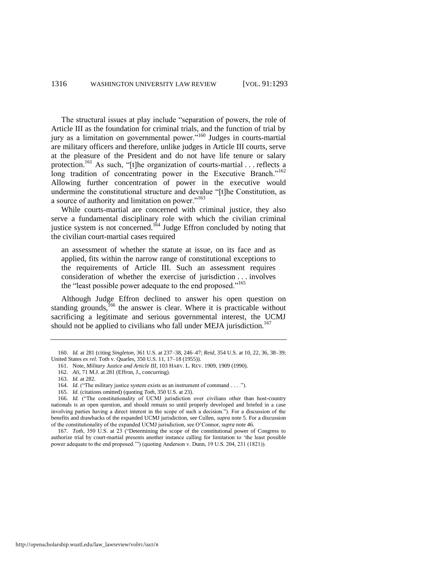The structural issues at play include "separation of powers, the role of Article III as the foundation for criminal trials, and the function of trial by jury as a limitation on governmental power."<sup>160</sup> Judges in courts-martial are military officers and therefore, unlike judges in Article III courts, serve at the pleasure of the President and do not have life tenure or salary protection.<sup>161</sup> As such, "[t]he organization of courts-martial . . . reflects a long tradition of concentrating power in the Executive Branch."<sup>162</sup> Allowing further concentration of power in the executive would undermine the constitutional structure and devalue "[t]he Constitution, as a source of authority and limitation on power."<sup>163</sup>

While courts-martial are concerned with criminal justice, they also serve a fundamental disciplinary role with which the civilian criminal justice system is not concerned.<sup>164</sup> Judge Effron concluded by noting that the civilian court-martial cases required

an assessment of whether the statute at issue, on its face and as applied, fits within the narrow range of constitutional exceptions to the requirements of Article III. Such an assessment requires consideration of whether the exercise of jurisdiction . . . involves the "least possible power adequate to the end proposed."<sup>165</sup>

Although Judge Effron declined to answer his open question on standing grounds, $166$  the answer is clear. Where it is practicable without sacrificing a legitimate and serious governmental interest, the UCMJ should not be applied to civilians who fall under MEJA jurisdiction.<sup>167</sup>

<sup>160.</sup> *Id.* at 281 (citing *Singleton*, 361 U.S. at 237–38, 246–47; *Reid*, 354 U.S. at 10, 22, 36, 38–39; United States *ex rel.* Toth v. Quarles, 350 U.S. 11, 17–18 (1955)).

<sup>161.</sup> Note, *Military Justice and Article III*, 103 HARV. L. REV. 1909, 1909 (1990).

<sup>162.</sup> *Ali*, 71 M.J. at 281 (Effron, J., concurring).

<sup>163.</sup> *Id.* at 282.

<sup>164.</sup> *Id.* ("The military justice system exists as an instrument of command . . . .").

<sup>165.</sup> *Id.* (citations omitted) (quoting *Toth*, 350 U.S. at 23).

<sup>166.</sup> *Id.* ("The constitutionality of UCMJ jurisdiction over civilians other than host-country nationals is an open question, and should remain so until properly developed and briefed in a case involving parties having a direct interest in the scope of such a decision."). For a discussion of the benefits and drawbacks of the expanded UCMJ jurisdiction, see Cullen, *supra* note [5.](#page-2-1) For a discussion of the constitutionality of the expanded UCMJ jurisdiction, see O'Connor, *supra* not[e 46.](#page-8-0)

<sup>167.</sup> *Toth*, 350 U.S. at 23 ("Determining the scope of the constitutional power of Congress to authorize trial by court-martial presents another instance calling for limitation to 'the least possible power adequate to the end proposed.'") (quoting Anderson v. Dunn, 19 U.S. 204, 231 (1821)).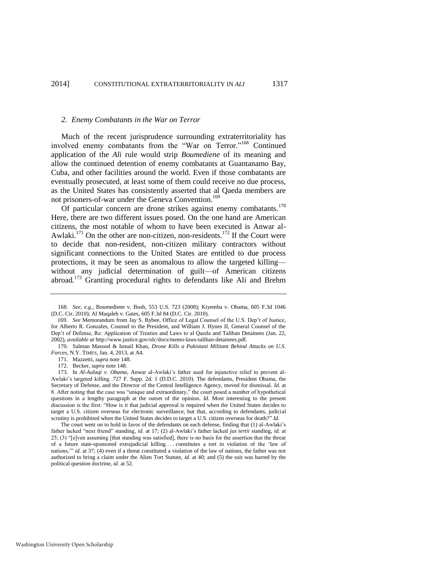#### *2. Enemy Combatants in the War on Terror*

Much of the recent jurisprudence surrounding extraterritoriality has involved enemy combatants from the "War on Terror."<sup>168</sup> Continued application of the *Ali* rule would strip *Boumediene* of its meaning and allow the continued detention of enemy combatants at Guantanamo Bay, Cuba, and other facilities around the world. Even if those combatants are eventually prosecuted, at least some of them could receive no due process, as the United States has consistently asserted that al Qaeda members are not prisoners-of-war under the Geneva Convention.<sup>169</sup>

Of particular concern are drone strikes against enemy combatants.<sup>170</sup> Here, there are two different issues posed. On the one hand are American citizens, the most notable of whom to have been executed is Anwar al-Awlaki.<sup>171</sup> On the other are non-citizen, non-residents.<sup>172</sup> If the Court were to decide that non-resident, non-citizen military contractors without significant connections to the United States are entitled to due process protections, it may be seen as anomalous to allow the targeted killing without any judicial determination of guilt—of American citizens abroad.<sup>173</sup> Granting procedural rights to defendants like Ali and Brehm

<sup>168.</sup> *See, e.g.*, Boumediene v. Bush, 553 U.S. 723 (2008); Kiyemba v. Obama, 605 F.3d 1046 (D.C. Cir. 2010); Al Maqaleh v. Gates, 605 F.3d 84 (D.C. Cir. 2010).

<sup>169.</sup> *See* Memorandum from Jay S. Bybee, Office of Legal Counsel of the U.S. Dep't of Justice, for Alberto R. Gonzales, Counsel to the President, and William J. Hynes II, General Counsel of the Dep't of Defense, Re: Application of Treaties and Laws to al Qaeda and Taliban Detainees (Jan. 22, 2002), *available at* http://www.justice.gov/olc/docs/memo-laws-taliban-detainees.pdf.

<sup>170.</sup> Salman Masood & Ismail Khan, *Drone Kills a Pakistani Militant Behind Attacks on U.S. Forces*, N.Y. TIMES, Jan. 4, 2013, at A4.

<sup>171.</sup> Mazzetti, *supra* not[e 148.](#page-22-0)

<sup>172.</sup> Becker, *supra* not[e 148.](#page-22-0) 

<sup>173.</sup> In *Al-Aulaqi v. Obama*, Anwar al-Awlaki's father sued for injunctive relief to prevent al-Awlaki's targeted killing. 727 F. Supp. 2d. 1 (D.D.C. 2010). The defendants, President Obama, the Secretary of Defense, and the Director of the Central Intelligence Agency, moved for dismissal. *Id.* at 8. After noting that the case was "unique and extraordinary," the court posed a number of hypothetical questions in a lengthy paragraph at the outset of the opinion. *Id.* Most interesting to the present discussion is the first: "How is it that judicial approval is required when the United States decides to target a U.S. citizen overseas for electronic surveillance, but that, according to defendants, judicial scrutiny is prohibited when the United States decides to target a U.S. citizen overseas for death?" *Id.*

The court went on to hold in favor of the defendants on each defense, finding that (1) al-Awlaki's father lacked "next friend" standing, *id.* at 17; (2) al-Awlaki's father lacked *jus tertii* standing, *id.* at 25; (3) "[e]ven assuming [that standing was satisfied], there is no basis for the assertion that the threat of a future state-sponsored extrajudicial killing . . . constitutes a tort in violation of the 'law of nations,'" *id.* at 37; (4) even if a threat constituted a violation of the law of nations, the father was not authorized to bring a claim under the Alien Tort Statute, *id.* at 40; and (5) the suit was barred by the political question doctrine, *id.* at 52.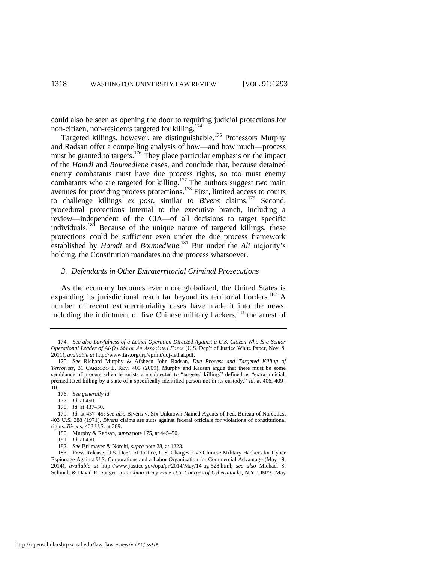could also be seen as opening the door to requiring judicial protections for non-citizen, non-residents targeted for killing.<sup>174</sup>

<span id="page-26-0"></span>Targeted killings, however, are distinguishable.<sup>175</sup> Professors Murphy and Radsan offer a compelling analysis of how—and how much—process must be granted to targets.<sup>176</sup> They place particular emphasis on the impact of the *Hamdi* and *Boumediene* cases, and conclude that, because detained enemy combatants must have due process rights, so too must enemy combatants who are targeted for killing.<sup>177</sup> The authors suggest two main avenues for providing process protections.<sup>178</sup> First, limited access to courts to challenge killings *ex post*, similar to *Bivens* claims.<sup>179</sup> Second, procedural protections internal to the executive branch, including a review—independent of the CIA—of all decisions to target specific individuals.<sup>180</sup> Because of the unique nature of targeted killings, these protections could be sufficient even under the due process framework established by *Hamdi* and *Boumediene*. <sup>181</sup> But under the *Ali* majority's holding, the Constitution mandates no due process whatsoever.

# *3. Defendants in Other Extraterritorial Criminal Prosecutions*

As the economy becomes ever more globalized, the United States is expanding its jurisdictional reach far beyond its territorial borders.<sup>182</sup> A number of recent extraterritoriality cases have made it into the news, including the indictment of five Chinese military hackers,<sup>183</sup> the arrest of

178. *Id.* at 437–50.

179. *Id.* at 437–45*; see also* Bivens v. Six Unknown Named Agents of Fed. Bureau of Narcotics, 403 U.S. 388 (1971). *Bivens* claims are suits against federal officials for violations of constitutional rights. *Bivens*, 403 U.S. at 389.

181. *Id.* at 450.

183. Press Release, U.S. Dep't of Justice, U.S. Charges Five Chinese Military Hackers for Cyber Espionage Against U.S. Corporations and a Labor Organization for Commercial Advantage (May 19, 2014), *available at* http://www.justice.gov/opa/pr/2014/May/14-ag-528.html; *see also* Michael S. Schmidt & David E. Sanger, *5 in China Army Face U.S. Charges of Cyberattacks*, N.Y. TIMES (May

<sup>174.</sup> *See also Lawfulness of a Lethal Operation Directed Against a U.S. Citizen Who Is a Senior Operational Leader of Al-Qa'ida or An Associated Force* (U.S. Dep't of Justice White Paper, Nov. 8, 2011), *available at* http://www.fas.org/irp/eprint/doj-lethal.pdf.

<sup>175.</sup> *See* Richard Murphy & Afsheen John Radsan, *Due Process and Targeted Killing of Terrorists*, 31 CARDOZO L. REV. 405 (2009). Murphy and Radsan argue that there must be some semblance of process when terrorists are subjected to "targeted killing," defined as "extra-judicial, premeditated killing by a state of a specifically identified person not in its custody." *Id.* at 406, 409– 10.

<sup>176.</sup> *See generally id.*

<sup>177.</sup> *Id.* at 450.

<sup>180.</sup> Murphy & Radsan, *supra* note [175,](#page-26-0) at 445–50.

<sup>182.</sup> *See* Brilmayer & Norchi, *supra* not[e 28,](#page-5-0) at 1223.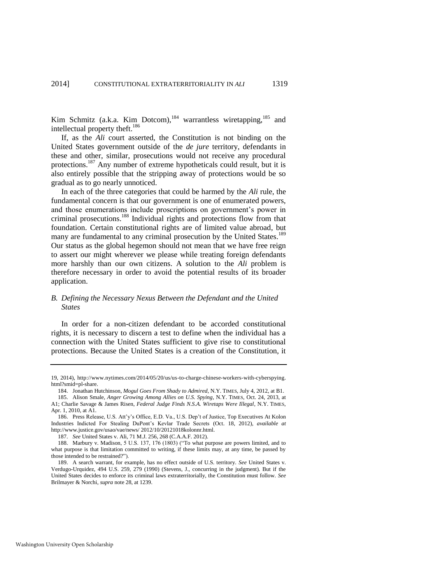Kim Schmitz (a.k.a. Kim Dotcom),<sup>184</sup> warrantless wiretapping,<sup>185</sup> and intellectual property theft.<sup>186</sup>

If, as the *Ali* court asserted, the Constitution is not binding on the United States government outside of the *de jure* territory, defendants in these and other, similar, prosecutions would not receive any procedural protections.<sup>187</sup> Any number of extreme hypotheticals could result, but it is also entirely possible that the stripping away of protections would be so gradual as to go nearly unnoticed.

In each of the three categories that could be harmed by the *Ali* rule, the fundamental concern is that our government is one of enumerated powers, and those enumerations include proscriptions on government's power in criminal prosecutions.<sup>188</sup> Individual rights and protections flow from that foundation. Certain constitutional rights are of limited value abroad, but many are fundamental to any criminal prosecution by the United States.<sup>189</sup> Our status as the global hegemon should not mean that we have free reign to assert our might wherever we please while treating foreign defendants more harshly than our own citizens. A solution to the *Ali* problem is therefore necessary in order to avoid the potential results of its broader application.

# *B. Defining the Necessary Nexus Between the Defendant and the United States*

In order for a non-citizen defendant to be accorded constitutional rights, it is necessary to discern a test to define when the individual has a connection with the United States sufficient to give rise to constitutional protections. Because the United States is a creation of the Constitution, it

<sup>19, 2014),</sup> http://www.nytimes.com/2014/05/20/us/us-to-charge-chinese-workers-with-cyberspying. html?smid=pl-share.

<sup>184.</sup> Jonathan Hutchinson, *Mogul Goes From Shady to Admired*, N.Y. TIMES, July 4, 2012, at B1.

<sup>185.</sup> Alison Smale, *Anger Growing Among Allies on U.S. Spying*, N.Y. TIMES, Oct. 24, 2013, at A1; Charlie Savage & James Risen, *Federal Judge Finds N.S.A. Wiretaps Were Illegal*, N.Y. TIMES, Apr. 1, 2010, at A1.

<sup>186.</sup> Press Release, U.S. Att'y's Office, E.D. Va., U.S. Dep't of Justice, Top Executives At Kolon Industries Indicted For Stealing DuPont's Kevlar Trade Secrets (Oct. 18, 2012), *available at* http://www.justice.gov/usao/vae/news/ 2012/10/20121018kolonnr.html.

<sup>187.</sup> *See* United States v. Ali, 71 M.J. 256, 268 (C.A.A.F. 2012).

<sup>188.</sup> Marbury v. Madison, 5 U.S. 137, 176 (1803) ("To what purpose are powers limited, and to what purpose is that limitation committed to writing, if these limits may, at any time, be passed by those intended to be restrained?").

<sup>189.</sup> A search warrant, for example, has no effect outside of U.S. territory. *See* United States v. Verdugo-Urquidez, 494 U.S. 259, 279 (1990) (Stevens, J., concurring in the judgment). But if the United States decides to enforce its criminal laws extraterritorially, the Constitution must follow. *See* Brilmayer & Norchi, *supra* not[e 28,](#page-5-0) at 1239.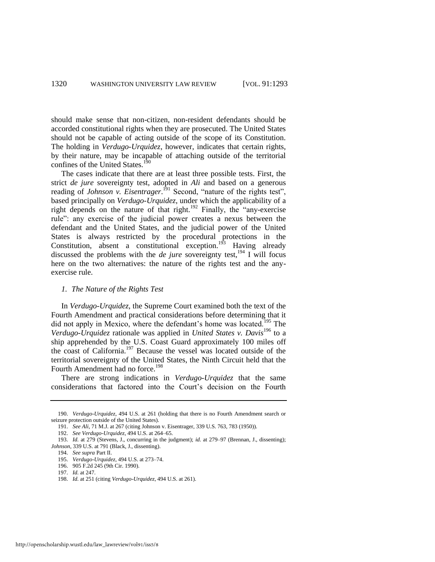should make sense that non-citizen, non-resident defendants should be accorded constitutional rights when they are prosecuted. The United States should not be capable of acting outside of the scope of its Constitution. The holding in *Verdugo-Urquidez*, however, indicates that certain rights, by their nature, may be incapable of attaching outside of the territorial confines of the United States.<sup>190</sup>

The cases indicate that there are at least three possible tests. First, the strict *de jure* sovereignty test, adopted in *Ali* and based on a generous reading of *Johnson v. Eisentrager*. <sup>191</sup> Second, "nature of the rights test", based principally on *Verdugo-Urquidez*, under which the applicability of a right depends on the nature of that right.<sup>192</sup> Finally, the "any-exercise" rule": any exercise of the judicial power creates a nexus between the defendant and the United States, and the judicial power of the United States is always restricted by the procedural protections in the Constitution, absent a constitutional exception.<sup>193</sup> Having already discussed the problems with the *de jure* sovereignty test,<sup>194</sup> I will focus here on the two alternatives: the nature of the rights test and the anyexercise rule.

# *1. The Nature of the Rights Test*

In *Verdugo-Urquidez*, the Supreme Court examined both the text of the Fourth Amendment and practical considerations before determining that it did not apply in Mexico, where the defendant's home was located.<sup>195</sup> The *Verdugo-Urquidez* rationale was applied in *United States v. Davis*<sup>196</sup> to a ship apprehended by the U.S. Coast Guard approximately 100 miles off the coast of California.<sup>197</sup> Because the vessel was located outside of the territorial sovereignty of the United States, the Ninth Circuit held that the Fourth Amendment had no force.<sup>198</sup>

There are strong indications in *Verdugo-Urquidez* that the same considerations that factored into the Court's decision on the Fourth

192. *See Verdugo-Urquidez*, 494 U.S. at 264–65.

<sup>190.</sup> *Verdugo-Urquidez*, 494 U.S. at 261 (holding that there is no Fourth Amendment search or seizure protection outside of the United States).

<sup>191.</sup> *See Ali*, 71 M.J. at 267 (citing Johnson v. Eisentrager, 339 U.S. 763, 783 (1950)).

<sup>193.</sup> *Id.* at 279 (Stevens, J., concurring in the judgment); *id.* at 279–97 (Brennan, J., dissenting); *Johnson*, 339 U.S. at 791 (Black, J., dissenting).

<sup>194.</sup> *See supra* Part II.

<sup>195.</sup> *Verdugo-Urquidez*, 494 U.S. at 273–74.

<sup>196. 905</sup> F.2d 245 (9th Cir. 1990).

<sup>197.</sup> *Id.* at 247.

<sup>198.</sup> *Id.* at 251 (citing *Verdugo-Urquidez*, 494 U.S. at 261).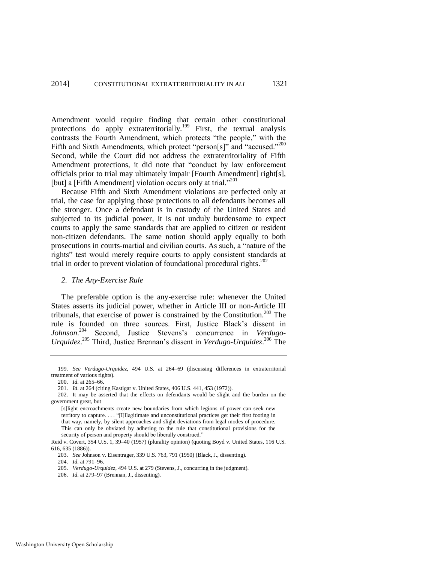Amendment would require finding that certain other constitutional protections do apply extraterritorially.<sup>199</sup> First, the textual analysis contrasts the Fourth Amendment, which protects "the people," with the Fifth and Sixth Amendments, which protect "person[s]" and "accused."<sup>200</sup> Second, while the Court did not address the extraterritoriality of Fifth Amendment protections, it did note that "conduct by law enforcement officials prior to trial may ultimately impair [Fourth Amendment] right[s], [but] a [Fifth Amendment] violation occurs only at trial."<sup>201</sup>

Because Fifth and Sixth Amendment violations are perfected only at trial, the case for applying those protections to all defendants becomes all the stronger. Once a defendant is in custody of the United States and subjected to its judicial power, it is not unduly burdensome to expect courts to apply the same standards that are applied to citizen or resident non-citizen defendants. The same notion should apply equally to both prosecutions in courts-martial and civilian courts. As such, a "nature of the rights" test would merely require courts to apply consistent standards at trial in order to prevent violation of foundational procedural rights. $202$ 

#### *2. The Any-Exercise Rule*

The preferable option is the any-exercise rule: whenever the United States asserts its judicial power, whether in Article III or non-Article III tribunals, that exercise of power is constrained by the Constitution.<sup>203</sup> The rule is founded on three sources. First, Justice Black's dissent in *Johnson*. <sup>204</sup> Second, Justice Stevens's concurrence in *Verdugo-Urquidez*. <sup>205</sup> Third, Justice Brennan's dissent in *Verdugo-Urquidez*. <sup>206</sup> The

- 205. *Verdugo-Urquidez*, 494 U.S. at 279 (Stevens, J., concurring in the judgment).
- 206. *Id.* at 279–97 (Brennan, J., dissenting).

<sup>199.</sup> *See Verdugo-Urquidez*, 494 U.S. at 264–69 (discussing differences in extraterritorial treatment of various rights).

<sup>200.</sup> *Id.* at 265–66.

<sup>201.</sup> *Id.* at 264 (citing Kastigar v. United States, 406 U.S. 441, 453 (1972)).

<sup>202.</sup> It may be asserted that the effects on defendants would be slight and the burden on the government great, but

<sup>[</sup>s]light encroachments create new boundaries from which legions of power can seek new territory to capture. . . . "[I]llegitimate and unconstitutional practices get their first footing in that way, namely, by silent approaches and slight deviations from legal modes of procedure. This can only be obviated by adhering to the rule that constitutional provisions for the security of person and property should be liberally construed."

Reid v. Covert, 354 U.S. 1, 39–40 (1957) (plurality opinion) (quoting Boyd v. United States, 116 U.S. 616, 635 (1886)).

<sup>203.</sup> *See* Johnson v. Eisentrager, 339 U.S. 763, 791 (1950) (Black, J., dissenting).

<sup>204.</sup> *Id.* at 791–96.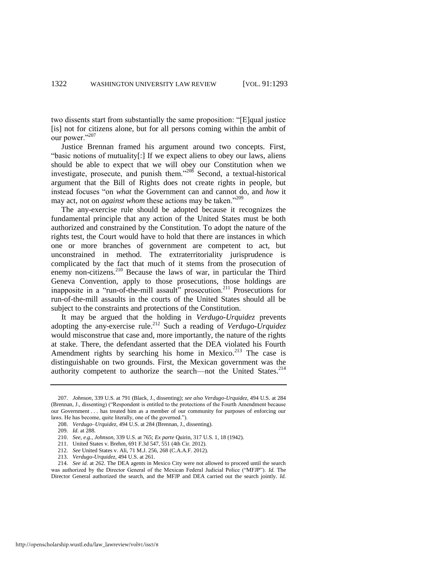two dissents start from substantially the same proposition: "[E]qual justice [is] not for citizens alone, but for all persons coming within the ambit of our power."<sup>207</sup>

Justice Brennan framed his argument around two concepts. First, "basic notions of mutuality[:] If we expect aliens to obey our laws, aliens should be able to expect that we will obey our Constitution when we investigate, prosecute, and punish them."<sup>208</sup> Second, a textual-historical argument that the Bill of Rights does not create rights in people, but instead focuses "on *what* the Government can and cannot do, and *how* it may act, not on *against whom* these actions may be taken."<sup>209</sup>

The any-exercise rule should be adopted because it recognizes the fundamental principle that any action of the United States must be both authorized and constrained by the Constitution. To adopt the nature of the rights test, the Court would have to hold that there are instances in which one or more branches of government are competent to act, but unconstrained in method. The extraterritoriality jurisprudence is complicated by the fact that much of it stems from the prosecution of enemy non-citizens.<sup>210</sup> Because the laws of war, in particular the Third Geneva Convention, apply to those prosecutions, those holdings are inapposite in a "run-of-the-mill assault" prosecution.<sup>211</sup> Prosecutions for run-of-the-mill assaults in the courts of the United States should all be subject to the constraints and protections of the Constitution.

It may be argued that the holding in *Verdugo-Urquidez* prevents adopting the any-exercise rule.<sup>212</sup> Such a reading of *Verdugo-Urquidez* would misconstrue that case and, more importantly, the nature of the rights at stake. There, the defendant asserted that the DEA violated his Fourth Amendment rights by searching his home in Mexico.<sup>213</sup> The case is distinguishable on two grounds. First, the Mexican government was the authority competent to authorize the search—not the United States.<sup>214</sup>

<sup>207.</sup> *Johnson*, 339 U.S. at 791 (Black, J., dissenting); *see also Verdugo-Urquidez*, 494 U.S. at 284 (Brennan, J., dissenting) ("Respondent is entitled to the protections of the Fourth Amendment because our Government . . . has treated him as a member of our community for purposes of enforcing our laws. He has become, quite literally, one of the governed.").

<sup>208.</sup> *Verdugo–Urquidez*, 494 U.S. at 284 (Brennan, J., dissenting).

<sup>209.</sup> *Id.* at 288.

<sup>210.</sup> *See, e.g.*, *Johnson*, 339 U.S. at 765; *Ex parte* Quirin, 317 U.S. 1, 18 (1942).

<sup>211.</sup> United States v. Brehm, 691 F.3d 547, 551 (4th Cir. 2012).

<sup>212.</sup> *See* United States v. Ali, 71 M.J. 256, 268 (C.A.A.F. 2012).

<sup>213.</sup> *Verdugo-Urquidez*, 494 U.S. at 261.

<sup>214.</sup> *See id.* at 262. The DEA agents in Mexico City were not allowed to proceed until the search was authorized by the Director General of the Mexican Federal Judicial Police ("MFJP"). *Id.* The Director General authorized the search, and the MFJP and DEA carried out the search jointly. *Id.*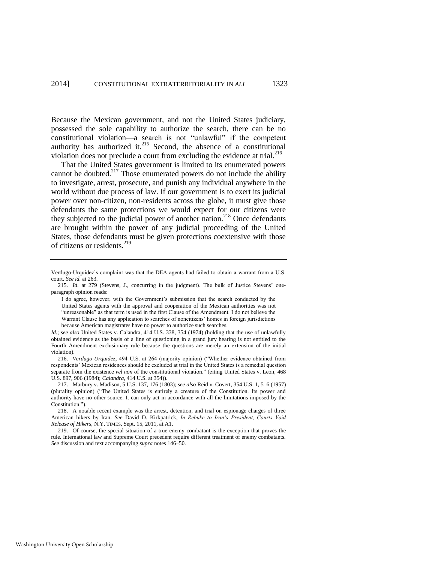Because the Mexican government, and not the United States judiciary, possessed the sole capability to authorize the search, there can be no constitutional violation—a search is not "unlawful" if the competent authority has authorized it.<sup>215</sup> Second, the absence of a constitutional violation does not preclude a court from excluding the evidence at trial. $^{216}$ 

That the United States government is limited to its enumerated powers cannot be doubted. $2^{17}$  Those enumerated powers do not include the ability to investigate, arrest, prosecute, and punish any individual anywhere in the world without due process of law. If our government is to exert its judicial power over non-citizen, non-residents across the globe, it must give those defendants the same protections we would expect for our citizens were they subjected to the judicial power of another nation.<sup>218</sup> Once defendants are brought within the power of any judicial proceeding of the United States, those defendants must be given protections coextensive with those of citizens or residents. $^{219}$ 

Verdugo-Urquidez's complaint was that the DEA agents had failed to obtain a warrant from a U.S. court. *See id.* at 263.

<sup>215.</sup> *Id.* at 279 (Stevens, J., concurring in the judgment). The bulk of Justice Stevens' oneparagraph opinion reads:

I do agree, however, with the Government's submission that the search conducted by the United States agents with the approval and cooperation of the Mexican authorities was not "unreasonable" as that term is used in the first Clause of the Amendment. I do not believe the Warrant Clause has any application to searches of noncitizens' homes in foreign jurisdictions because American magistrates have no power to authorize such searches.

*Id.*; *see also* United States v. Calandra, 414 U.S. 338, 354 (1974) (holding that the use of unlawfully obtained evidence as the basis of a line of questioning in a grand jury hearing is not entitled to the Fourth Amendment exclusionary rule because the questions are merely an extension of the initial violation).

<sup>216.</sup> *Verdugo-Urquidez*, 494 U.S. at 264 (majority opinion) ("Whether evidence obtained from respondents' Mexican residences should be excluded at trial in the United States is a remedial question separate from the existence *vel non* of the constitutional violation." (citing United States v. Leon, 468 U.S. 897, 906 (1984); *Calandra*, 414 U.S. at 354)).

<sup>217.</sup> Marbury v. Madison, 5 U.S. 137, 176 (1803); *see also* Reid v. Covert, 354 U.S. 1, 5–6 (1957) (plurality opinion) ("The United States is entirely a creature of the Constitution. Its power and authority have no other source. It can only act in accordance with all the limitations imposed by the Constitution.").

<sup>218.</sup> A notable recent example was the arrest, detention, and trial on espionage charges of three American hikers by Iran. *See* David D. Kirkpatrick, *In Rebuke to Iran's President, Courts Void Release of Hikers*, N.Y. TIMES, Sept. 15, 2011, at A1.

<sup>219.</sup> Of course, the special situation of a true enemy combatant is the exception that proves the rule. International law and Supreme Court precedent require different treatment of enemy combatants. *See* discussion and text accompanying *supra* notes [146–](#page-21-1)50.